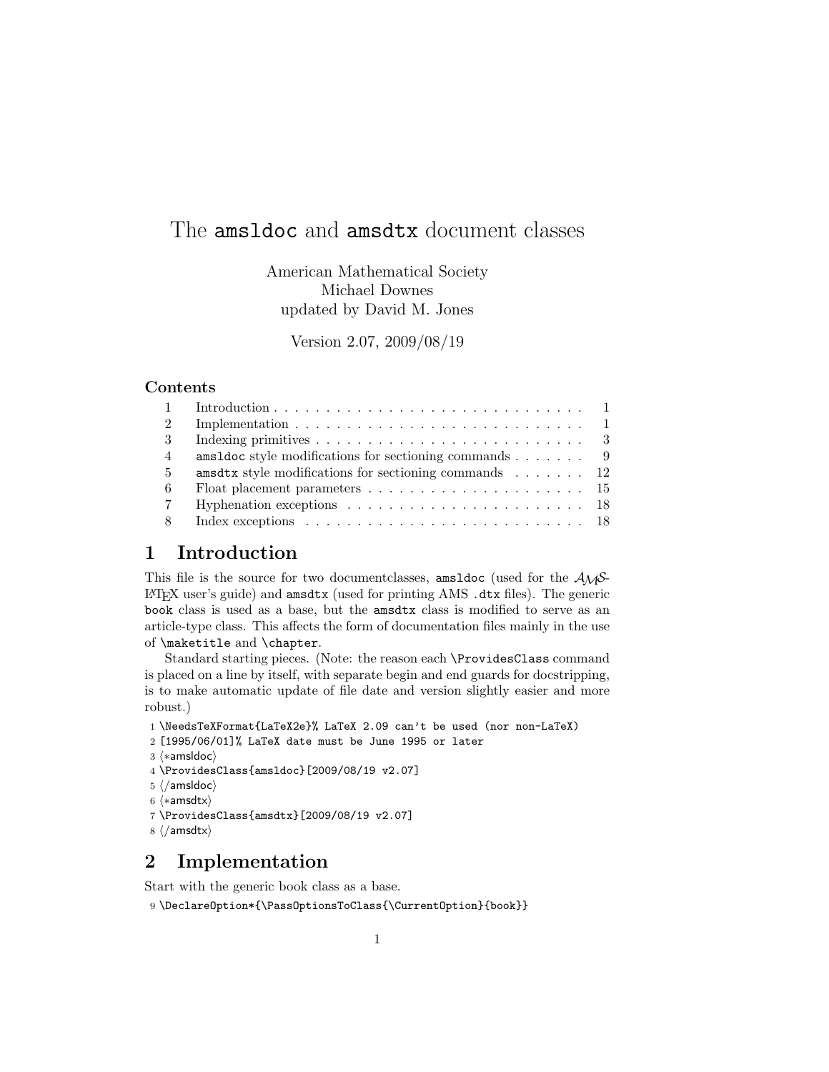# The amsldoc and amsdtx document classes

American Mathematical Society Michael Downes updated by David M. Jones

Version 2.07, 2009/08/19

# Contents

| $\mathcal{D}$  |                                                                                             |
|----------------|---------------------------------------------------------------------------------------------|
| 3              |                                                                                             |
| $\overline{4}$ | amsldoc style modifications for sectioning commands $\ldots \ldots$ 9                       |
| $5^{\circ}$    | amsdtx style modifications for sectioning commands $\ldots \ldots \ldots$ 12                |
| -6             |                                                                                             |
| $\overline{7}$ | Hyphenation exceptions $\ldots \ldots \ldots \ldots \ldots \ldots \ldots \ldots 18$         |
| 8              | Index exceptions $\ldots \ldots \ldots \ldots \ldots \ldots \ldots \ldots \ldots \ldots 18$ |

# 1 Introduction

This file is the source for two document classes, and  $\alpha$  (used for the  $A\mathcal{M}S$ -LATEX user's guide) and amsdtx (used for printing AMS .dtx files). The generic book class is used as a base, but the amsdtx class is modified to serve as an article-type class. This affects the form of documentation files mainly in the use of \maketitle and \chapter.

Standard starting pieces. (Note: the reason each \ProvidesClass command is placed on a line by itself, with separate begin and end guards for docstripping, is to make automatic update of file date and version slightly easier and more robust.)

```
1 \NeedsTeXFormat{LaTeX2e}% LaTeX 2.09 can't be used (nor non-LaTeX)
```
2 [1995/06/01]% LaTeX date must be June 1995 or later

```
3 \langle *amsldoc\rangle
```

```
4 \ProvidesClass{amsldoc}[2009/08/19 v2.07]
```

```
5 \langle / \text{amsldoc} \rangle
```

```
6 \langle *amsdtx \rangle
```

```
7 \ProvidesClass{amsdtx}[2009/08/19 v2.07]
```

```
8 \langle / \text{amsdtx} \rangle
```
# 2 Implementation

Start with the generic book class as a base.

9 \DeclareOption\*{\PassOptionsToClass{\CurrentOption}{book}}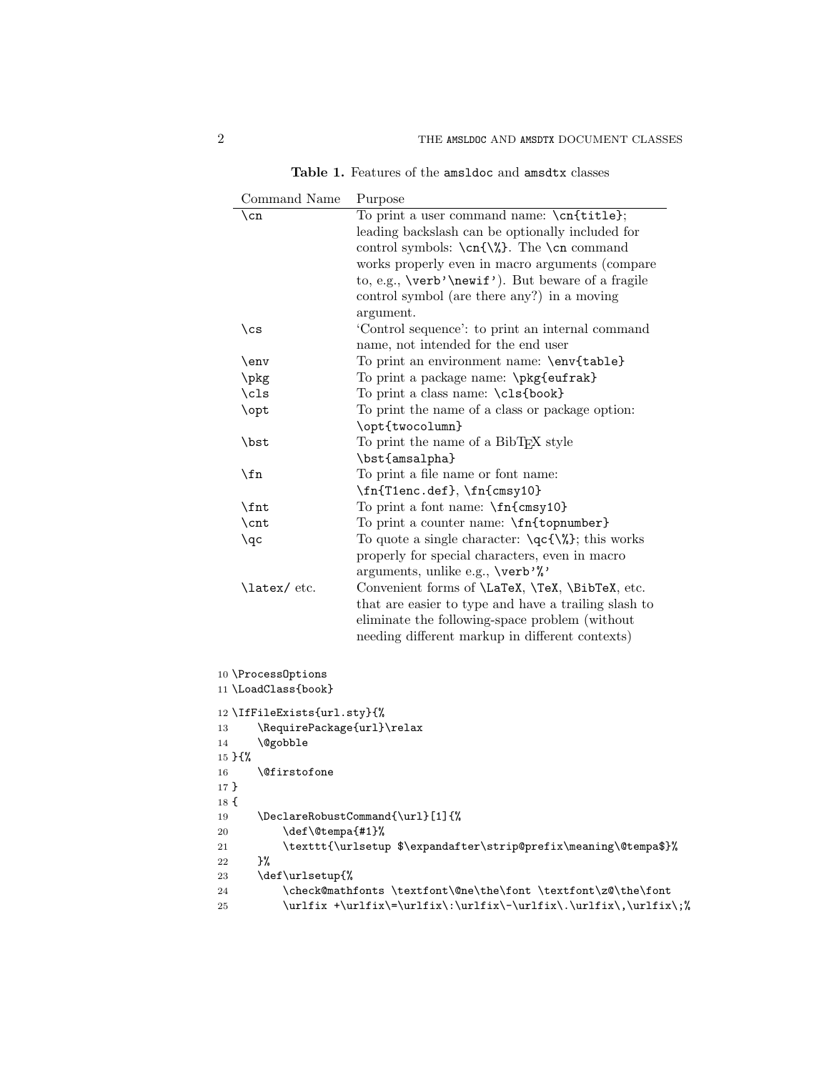| Table 1. Features of the amsldoc and amsdtx classes |
|-----------------------------------------------------|
|-----------------------------------------------------|

| Command Name<br>Purpose |                                                                                      |                                                                         |  |
|-------------------------|--------------------------------------------------------------------------------------|-------------------------------------------------------------------------|--|
| \cn                     |                                                                                      | To print a user command name: \cn{title};                               |  |
|                         |                                                                                      | leading backslash can be optionally included for                        |  |
|                         |                                                                                      | control symbols: $\cn{\%}$ . The $\cn$ command                          |  |
|                         |                                                                                      | works properly even in macro arguments (compare                         |  |
|                         |                                                                                      | to, e.g., \verb'\newif'). But beware of a fragile                       |  |
|                         |                                                                                      | control symbol (are there any?) in a moving                             |  |
|                         |                                                                                      | argument.                                                               |  |
| $\setminus$ cs          |                                                                                      | 'Control sequence': to print an internal command                        |  |
|                         |                                                                                      | name, not intended for the end user                                     |  |
| $\env$                  |                                                                                      | To print an environment name: \env{table}                               |  |
| \pkg                    |                                                                                      | To print a package name: \pkg{eufrak}                                   |  |
| $\clap{c1s}$            |                                                                                      | To print a class name: \cls{book}                                       |  |
| \opt                    |                                                                                      | To print the name of a class or package option:                         |  |
|                         |                                                                                      | \opt{twocolumn}                                                         |  |
| \bst                    |                                                                                      | To print the name of a BibT <sub>E</sub> X style                        |  |
|                         |                                                                                      | \bst{amsalpha}                                                          |  |
| $\ln$                   |                                                                                      | To print a file name or font name:                                      |  |
|                         |                                                                                      | \fn{T1enc.def}, \fn{cmsy10}                                             |  |
| \fnt                    |                                                                                      | To print a font name: \fn{cmsy10}                                       |  |
| \cnt                    |                                                                                      | To print a counter name: \fn{topnumber}                                 |  |
| $\qquadq$ c             |                                                                                      | To quote a single character: $\qquad\qquad$ , $\qquad$ , this works     |  |
|                         |                                                                                      | properly for special characters, even in macro                          |  |
|                         |                                                                                      | arguments, unlike e.g., \verb'%'                                        |  |
| \latex/etc.             |                                                                                      | Convenient forms of <i>\LaTeX</i> , <i>\TeX</i> , <i>\BibTeX</i> , etc. |  |
|                         |                                                                                      | that are easier to type and have a trailing slash to                    |  |
|                         |                                                                                      | eliminate the following-space problem (without                          |  |
|                         |                                                                                      | needing different markup in different contexts)                         |  |
|                         |                                                                                      |                                                                         |  |
| 10 \ProcessOptions      |                                                                                      |                                                                         |  |
| 11 \LoadClass{book}     |                                                                                      |                                                                         |  |
|                         |                                                                                      |                                                                         |  |
|                         | 12 \IfFileExists{url.sty}{%                                                          |                                                                         |  |
| 13<br>14                | \@gobble                                                                             | \RequirePackage{url}\relax                                              |  |
| $15 \;$ H%              |                                                                                      |                                                                         |  |
| 16                      | <i><b>\@firstofone</b></i>                                                           |                                                                         |  |
| 17 }                    |                                                                                      |                                                                         |  |
| 18 t                    |                                                                                      |                                                                         |  |
| 19                      | \DeclareRobustCommand{\url}[1]{%                                                     |                                                                         |  |
| 20                      | \def\@tempa{#1}%<br>\texttt{\urlsetup \$\expandafter\strip@prefix\meaning\@tempa\$}% |                                                                         |  |
| 21                      |                                                                                      |                                                                         |  |
| }%<br>22                |                                                                                      |                                                                         |  |
| 23                      | \def\urlsetup{%                                                                      |                                                                         |  |
| 24                      |                                                                                      | \check@mathfonts \textfont\@ne\the\font \textfont\z@\the\font           |  |
| 25                      |                                                                                      |                                                                         |  |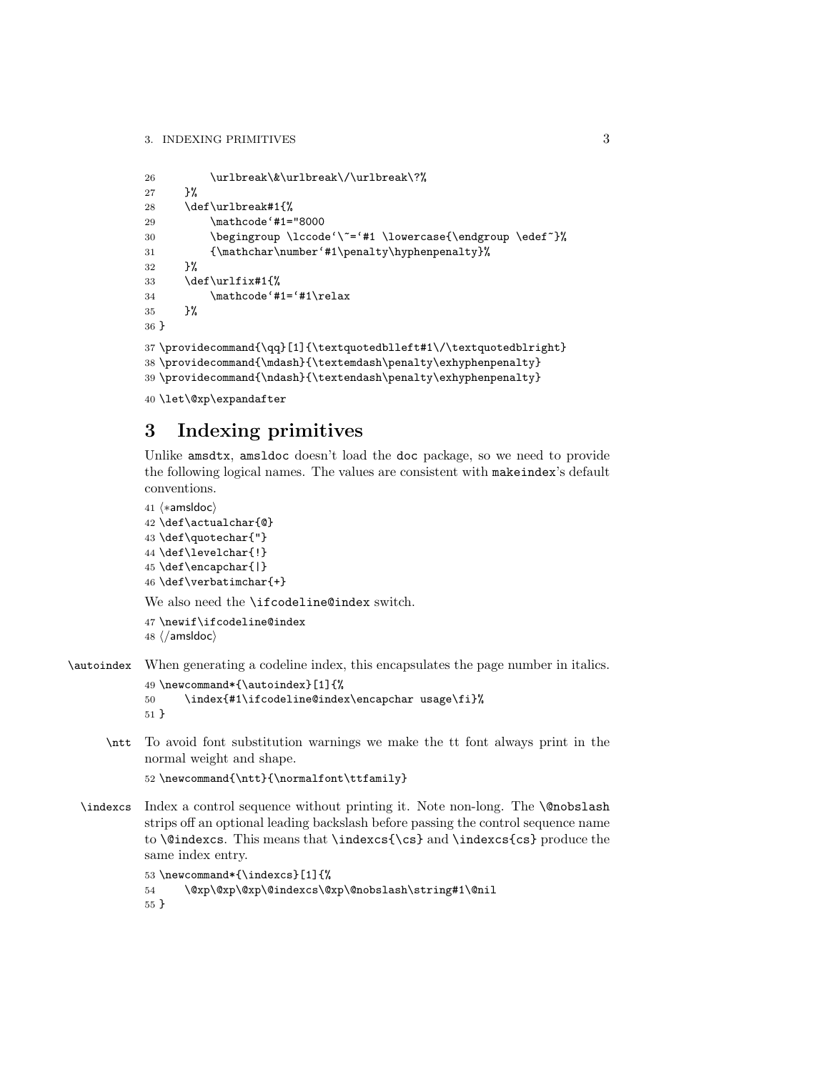```
26 \urlbreak\&\urlbreak\/\urlbreak\?%
27 }%
28 \def\urlbreak#1{%
29 \mathcode'#1="8000
30 \begingroup \lccode'\"='#1 \lowercase{\endgroup \edef"}%
31 {\mathchar\number'#1\penalty\hyphenpenalty}%
32 \frac{1}{12}33 \def\urlfix#1{%
34 \mathcode'#1='#1\relax
35 }%
36 }
37 \providecommand{\qq}[1]{\textquotedblleft#1\/\textquotedblright}
38 \providecommand{\mdash}{\textemdash\penalty\exhyphenpenalty}
39 \providecommand{\ndash}{\textendash\penalty\exhyphenpenalty}
```

```
40 \let\@xp\expandafter
```
# 3 Indexing primitives

Unlike amsdtx, amsldoc doesn't load the doc package, so we need to provide the following logical names. The values are consistent with makeindex's default conventions.

```
41 \langle *amsldoc \rangle42 \def\actualchar{@}
43 \def\quotechar{"}
44 \def\levelchar{!}
45 \def\encapchar{|}
46 \def\verbatimchar{+}
```
We also need the **\ifcodeline@index** switch.

```
47 \newif\ifcodeline@index
48 \; \langle / \text{amsldoc} \rangle
```
\autoindex When generating a codeline index, this encapsulates the page number in italics. 49 \newcommand\*{\autoindex}[1]{%

```
50 \index{#1\ifcodeline@index\encapchar usage\fi}%
51 }
```
\ntt To avoid font substitution warnings we make the tt font always print in the normal weight and shape.

```
52 \newcommand{\ntt}{\normalfont\ttfamily}
```
\indexcs Index a control sequence without printing it. Note non-long. The \@nobslash strips off an optional leading backslash before passing the control sequence name to **\@indexcs**. This means that **\indexcs{\cs}** and **\indexcs{cs}** produce the same index entry.

```
53 \newcommand*{\indexcs}[1]{%
54 \@xp\@xp\@xp\@indexcs\@xp\@nobslash\string#1\@nil
55 }
```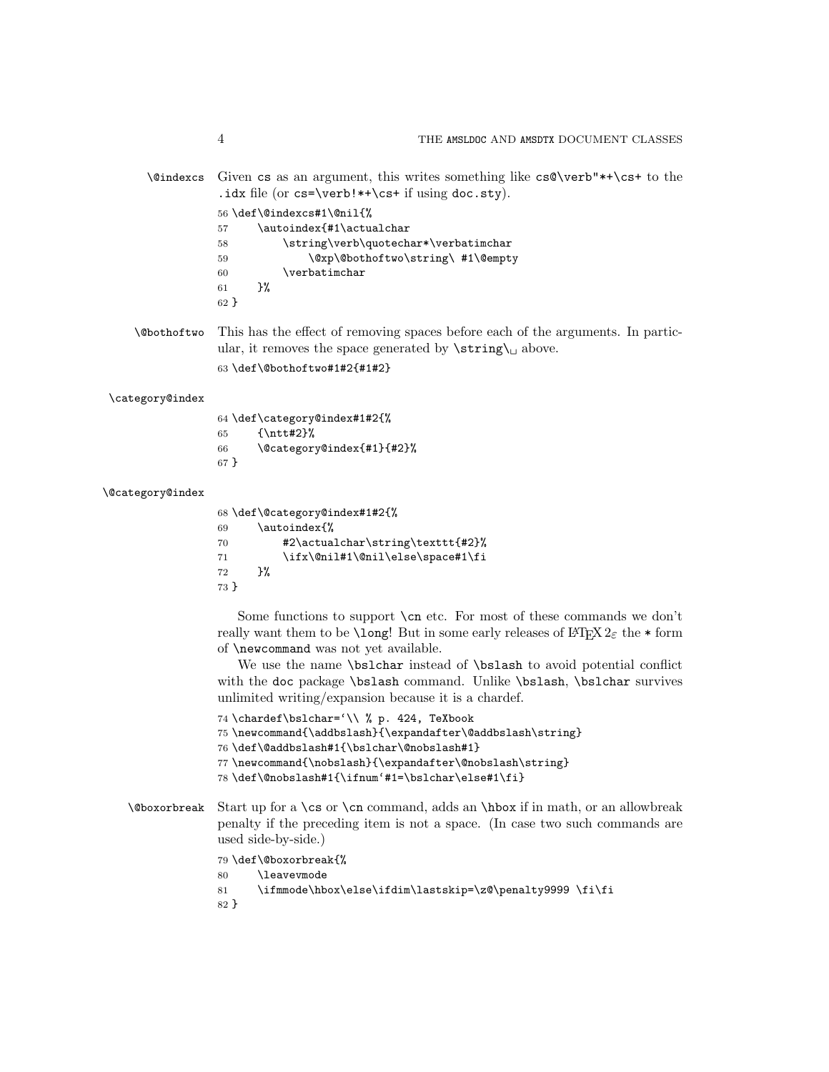\@indexcs Given cs as an argument, this writes something like cs@\verb"\*+\cs+ to the .idx file (or cs=\verb!\*+\cs+ if using doc.sty).

|        |    | 56 \def\@indexcs#1\@nil{%            |
|--------|----|--------------------------------------|
| 57     |    | \autoindex{#1\actualchar             |
| 58     |    | \string\verb\quotechar*\verbatimchar |
| 59     |    | \@xp\@bothoftwo\string\ #1\@empty    |
| 60     |    | \verbatimchar                        |
| 61     | ጉ% |                                      |
| $62$ } |    |                                      |

\@bothoftwo This has the effect of removing spaces before each of the arguments. In particular, it removes the space generated by  $\strut \text{string} \cup \text{above}.$ 

\def\@bothoftwo#1#2{#1#2}

#### \category@index

 \def\category@index#1#2{% {\ntt#2}% \@category@index{#1}{#2}% }

#### \@category@index

|        | 68 \def\@category@index#1#2{%    |
|--------|----------------------------------|
| 69     | \autoindex{%                     |
| 70     | #2\actualchar\string\texttt{#2}% |
| 71     | \ifx\@nil#1\@nil\else\space#1\fi |
| 72     | ጉ%                               |
| $73$ } |                                  |

Some functions to support  $\cn$  etc. For most of these commands we don't really want them to be **\long!** But in some early releases of  $LATEX 2<sub>\epsilon</sub>$  the \* form of \newcommand was not yet available.

We use the name **\bslchar** instead of **\bslash** to avoid potential conflict with the doc package **\bslash** command. Unlike **\bslash**, **\bslchar** survives unlimited writing/expansion because it is a chardef.

```
74 \chardef\bslchar='\\ % p. 424, TeXbook
75 \newcommand{\addbslash}{\expandafter\@addbslash\string}
76 \def\@addbslash#1{\bslchar\@nobslash#1}
77 \newcommand{\nobslash}{\expandafter\@nobslash\string}
78 \def\@nobslash#1{\ifnum'#1=\bslchar\else#1\fi}
```
\@boxorbreak Start up for a \cs or \cn command, adds an \hbox if in math, or an allowbreak penalty if the preceding item is not a space. (In case two such commands are used side-by-side.)

\def\@boxorbreak{%

```
80 \leavevmode
```

```
81 \ifmmode\hbox\else\ifdim\lastskip=\z@\penalty9999 \fi\fi
```
}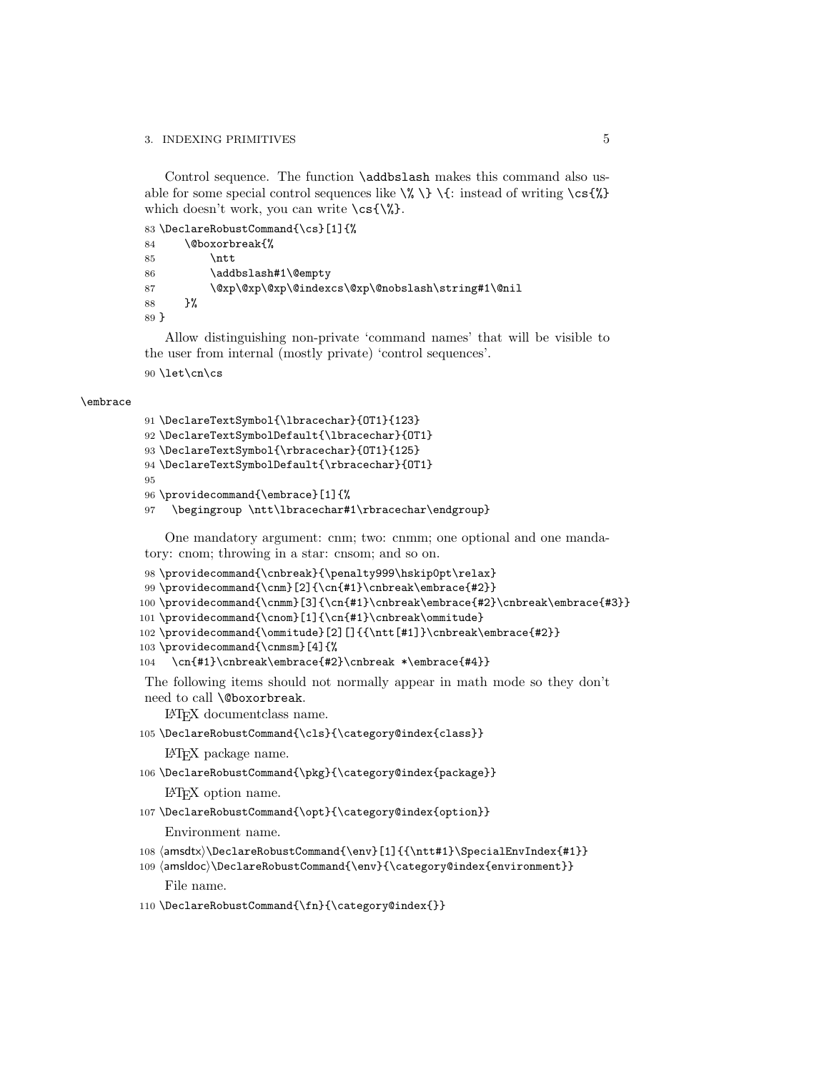### 3. INDEXING PRIMITIVES 5

Control sequence. The function \addbslash makes this command also usable for some special control sequences like  $\{\lambda \} \$  : instead of writing  $\csc{\lambda}$ which doesn't work, you can write  $\csc{\$\$ }.

83 \DeclareRobustCommand{\cs}[1]{%

```
84 \@boxorbreak{%
85 \ntt
86 \addbslash#1\@empty
87 \@xp\@xp\@xp\@indexcs\@xp\@nobslash\string#1\@nil
88 }%
89 }
```
Allow distinguishing non-private 'command names' that will be visible to the user from internal (mostly private) 'control sequences'. 90 \let\cn\cs

### \embrace

```
91 \DeclareTextSymbol{\lbracechar}{OT1}{123}
92 \DeclareTextSymbolDefault{\lbracechar}{OT1}
93 \DeclareTextSymbol{\rbracechar}{OT1}{125}
94 \DeclareTextSymbolDefault{\rbracechar}{OT1}
95
96 \providecommand{\embrace}[1]{%
97 \begingroup \ntt\lbracechar#1\rbracechar\endgroup}
```
One mandatory argument: cnm; two: cnmm; one optional and one mandatory: cnom; throwing in a star: cnsom; and so on.

```
98\providecommand{\cnbreak}{\penalty999\hskip0pt\relax}
99 \providecommand{\cnm}[2]{\cn{#1}\cnbreak\embrace{#2}}
100 \providecommand{\cnmm}[3]{\cn{#1}\cnbreak\embrace{#2}\cnbreak\embrace{#3}}
101 \providecommand{\cnom}[1]{\cn{#1}\cnbreak\ommitude}
102 \providecommand{\ommitude}[2][]{{\ntt[#1]}\cnbreak\embrace{#2}}
103 \providecommand{\cnmsm}[4]{%
104 \cn{#1}\cnbreak\embrace{#2}\cnbreak *\embrace{#4}}
```
The following items should not normally appear in math mode so they don't need to call \@boxorbreak.

LATEX documentclass name.

105 \DeclareRobustCommand{\cls}{\category@index{class}}

LATEX package name.

106 \DeclareRobustCommand{\pkg}{\category@index{package}}

LATEX option name.

```
107 \DeclareRobustCommand{\opt}{\category@index{option}}
```
Environment name.

```
108 (amsdtx)\DeclareRobustCommand{\env}[1]{{\ntt#1}\SpecialEnvIndex{#1}}
```

```
109 (amsldoc)\DeclareRobustCommand{\env}{\category@index{environment}}
    File name.
```
110 \DeclareRobustCommand{\fn}{\category@index{}}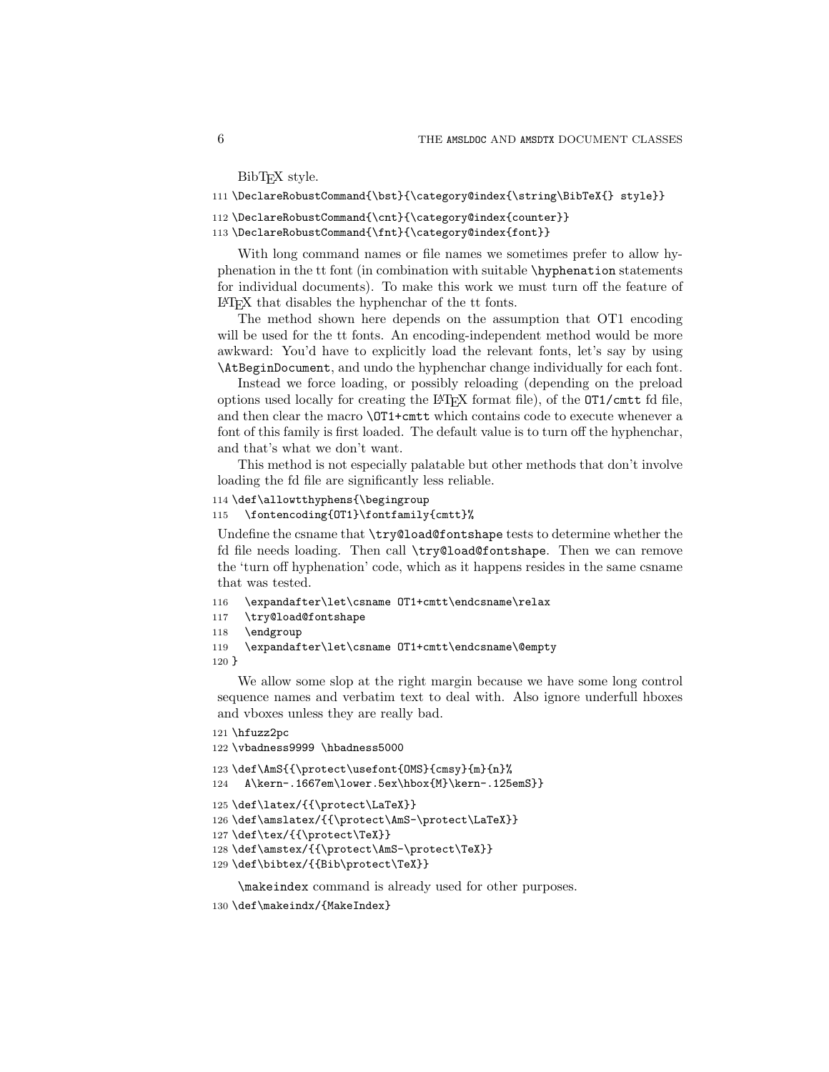BibT<sub>EX</sub> style.

```
111 \DeclareRobustCommand{\bst}{\category@index{\string\BibTeX{} style}}
```

```
112 \DeclareRobustCommand{\cnt}{\category@index{counter}}
```

```
113 \DeclareRobustCommand{\fnt}{\category@index{font}}
```
With long command names or file names we sometimes prefer to allow hyphenation in the tt font (in combination with suitable \hyphenation statements for individual documents). To make this work we must turn off the feature of LATEX that disables the hyphenchar of the tt fonts.

The method shown here depends on the assumption that OT1 encoding will be used for the tt fonts. An encoding-independent method would be more awkward: You'd have to explicitly load the relevant fonts, let's say by using \AtBeginDocument, and undo the hyphenchar change individually for each font.

Instead we force loading, or possibly reloading (depending on the preload options used locally for creating the LATEX format file), of the OT1/cmtt fd file, and then clear the macro \OT1+cmtt which contains code to execute whenever a font of this family is first loaded. The default value is to turn off the hyphenchar, and that's what we don't want.

This method is not especially palatable but other methods that don't involve loading the fd file are significantly less reliable.

```
114 \def\allowtthyphens{\begingroup
```

```
115 \fontencoding{OT1}\fontfamily{cmtt}%
```
Undefine the csname that \try@load@fontshape tests to determine whether the fd file needs loading. Then call \try@load@fontshape. Then we can remove the 'turn off hyphenation' code, which as it happens resides in the same csname that was tested.

```
116 \expandafter\let\csname OT1+cmtt\endcsname\relax
```

```
117 \try@load@fontshape
```

```
118 \endgroup
```

```
119 \expandafter\let\csname OT1+cmtt\endcsname\@empty
```
120 }

We allow some slop at the right margin because we have some long control sequence names and verbatim text to deal with. Also ignore underfull hboxes and vboxes unless they are really bad.

```
121 \hfuzz2pc
```

```
122 \vbadness9999 \hbadness5000
123 \def\AmS{{\protect\usefont{OMS}{cmsy}{m}{n}%
124 A\kern-.1667em\lower.5ex\hbox{M}\kern-.125emS}}
125\def\label{f\propto}126 \def\amslatex/{{\protect\AmS-\protect\LaTeX}}
127 \def\tex/{{\protect\TeX}}
128 \def\amstex/{{\protect\AmS-\protect\TeX}}
129 \def\bibtex/{{Bib\protect\TeX}}
```
\makeindex command is already used for other purposes.

```
130 \def\makeindx/{MakeIndex}
```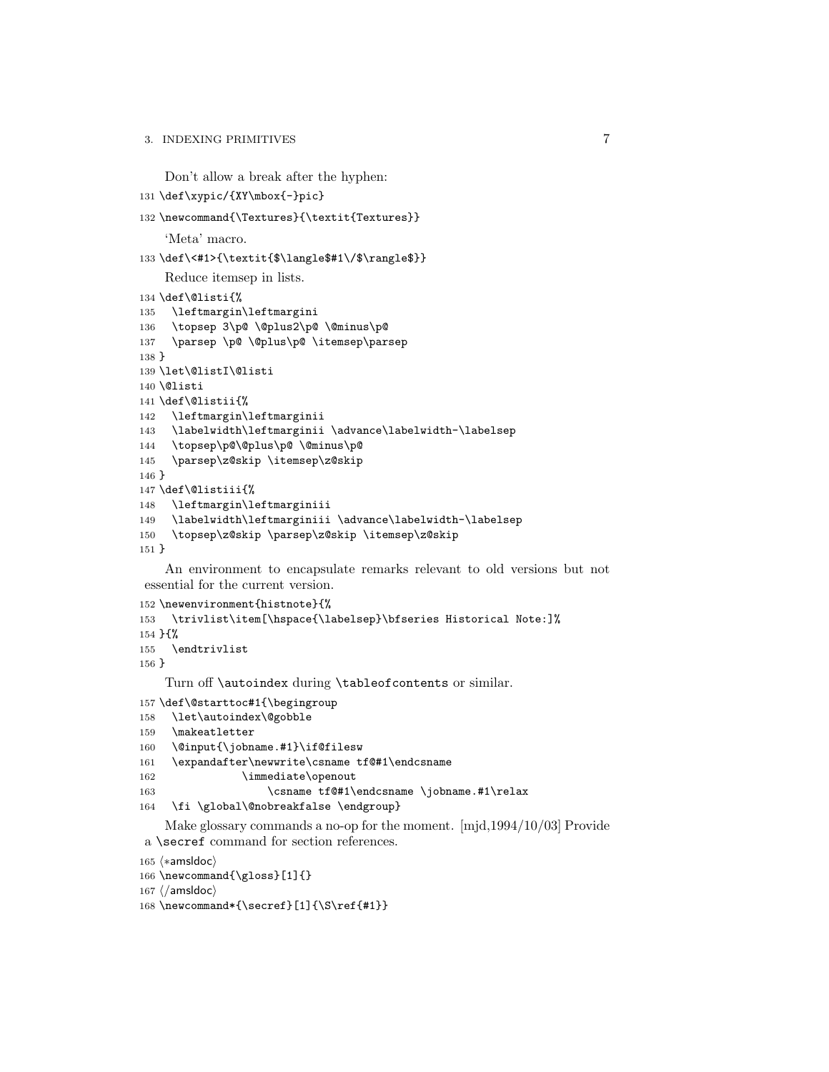## 3. INDEXING PRIMITIVES 7

```
Don't allow a break after the hyphen:
```

```
131 \def\xypic/{XY\mbox{-}pic}
```

```
132 \newcommand{\Textures}{\textit{Textures}}
```
'Meta' macro.

```
133 \def\<#1>{\textit{$\langle$#1\/$\rangle$}}
```
Reduce itemsep in lists.

```
134 \def\@listi{%
135 \leftmargin\leftmargini
136 \topsep 3\p@ \@plus2\p@ \@minus\p@
137 \parsep \p@ \@plus\p@ \itemsep\parsep
138 }
139 \let\@listI\@listi
140 \@listi
141 \def\@listii{%
142 \leftmargin\leftmarginii
143 \labelwidth\leftmarginii \advance\labelwidth-\labelsep
144 \topsep\p@\@plus\p@ \@minus\p@
145 \parsep\z@skip \itemsep\z@skip
146 }
147 \def\@listiii{%
148 \leftmargin\leftmarginiii
149 \labelwidth\leftmarginiii \advance\labelwidth-\labelsep
150 \topsep\z@skip \parsep\z@skip \itemsep\z@skip
151 }
```
An environment to encapsulate remarks relevant to old versions but not essential for the current version.

```
152 \newenvironment{histnote}{%
153 \trivlist\item[\hspace{\labelsep}\bfseries Historical Note:]%
154 }{%
155 \endtrivlist
156 }
```
Turn off \autoindex during \tableofcontents or similar.

```
157 \def\@starttoc#1{\begingroup
```

```
158 \let\autoindex\@gobble
```

```
159 \makeatletter
```

```
160 \@input{\jobname.#1}\if@filesw
```

```
161 \expandafter\newwrite\csname tf@#1\endcsname
```
162 \immediate\openout

163 \csname tf@#1\endcsname \jobname.#1\relax

\fi \global\@nobreakfalse \endgroup}

Make glossary commands a no-op for the moment. [mjd,1994/10/03] Provide a \secref command for section references.

```
165 (*amsldoc)
```

```
166 \newcommand{\gloss}[1]{}
```

```
167 \; \langle / \text{amsldoc} \rangle
```

```
168 \newcommand*{\secref}[1]{\S\ref{#1}}
```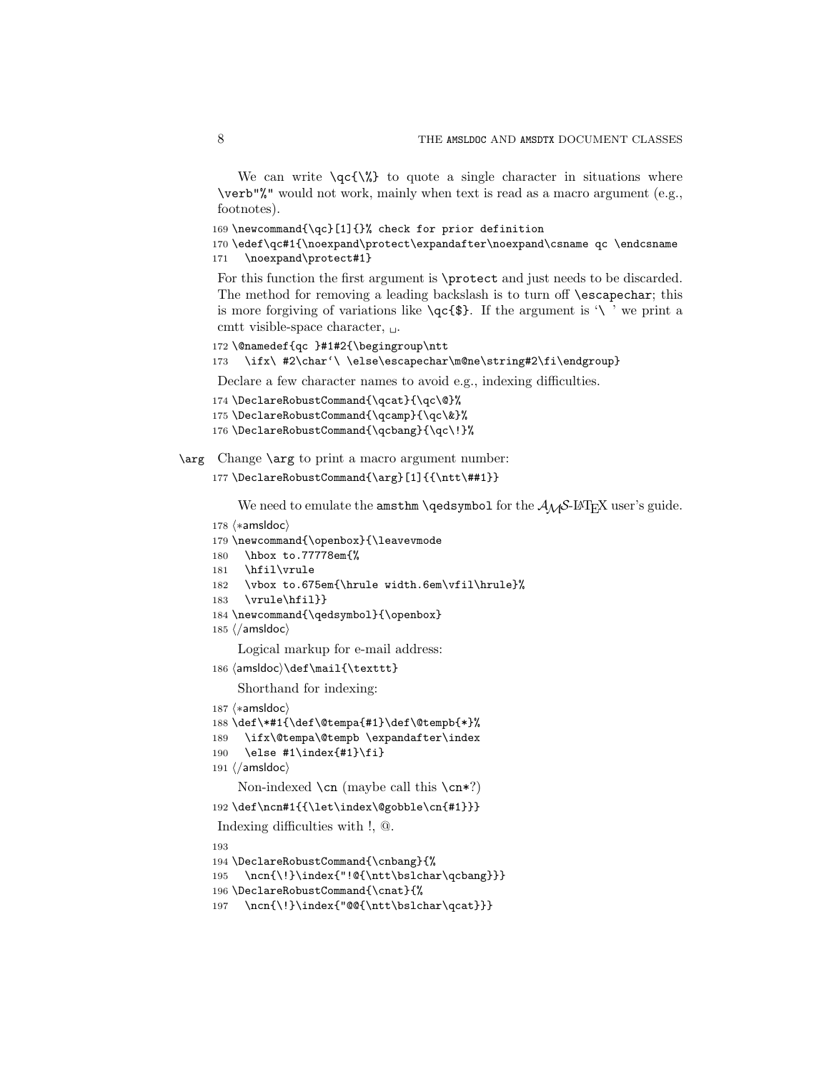We can write  $\qquad\{\$\}$  to quote a single character in situations where \verb"%" would not work, mainly when text is read as a macro argument (e.g., footnotes).

169 \newcommand{\qc}[1]{}% check for prior definition

170 \edef\qc#1{\noexpand\protect\expandafter\noexpand\csname qc \endcsname 171 \noexpand\protect#1}

For this function the first argument is \protect and just needs to be discarded. The method for removing a leading backslash is to turn off \escapechar; this is more forgiving of variations like  $\qquad \cdot \$  If the argument is '\' we print a cmtt visible-space character,  $\Box$ .

```
172 \@namedef{qc }#1#2{\begingroup\ntt
```

```
173 \ifx\ #2\char'\ \else\escapechar\m@ne\string#2\fi\endgroup}
```
Declare a few character names to avoid e.g., indexing difficulties.

```
174 \DeclareRobustCommand{\qcat}{\qc\@}%
```

```
175 \DeclareRobustCommand{\qcamp}{\qc\&}%
```
176 \DeclareRobustCommand{\qcbang}{\qc\!}%

\arg Change \arg to print a macro argument number:

```
177 \DeclareRobustCommand{\arg}[1]{{\ntt\##1}}
```
We need to emulate the amsthm \qedsymbol for the  $\mathcal{A}_{\mathcal{M}}\mathcal{S}\text{-}L\mathcal{A}$  user's guide.

```
178 (*amsldoc)
179 \newcommand{\openbox}{\leavevmode
180 \hbox to.77778em{%
181 \hfil\vrule
182 \vbox to.675em{\hrule width.6em\vfil\hrule}%
183 \vrule\hfil}}
184 \newcommand{\qedsymbol}{\openbox}
185 \langle/amsldoc\rangleLogical markup for e-mail address:
186 (amsldoc)\def\mail{\texttt}
    Shorthand for indexing:
187 (*amsldoc)
188 \def\*#1{\def\@tempa{#1}\def\@tempb{*}%
189 \ifx\@tempa\@tempb \expandafter\index
190 \else #1\index{#1}\fi}
191 \langle/amsldoc\rangleNon-indexed \cn (maybe call this \cn*?)
192 \def\ncn#1{{\let\index\@gobble\cn{#1}}}
Indexing difficulties with !, @.
193
```
194 \DeclareRobustCommand{\cnbang}{%

```
195 \ncn{\!}\index{"!@{\ntt\bslchar\qcbang}}}
```

```
196 \DeclareRobustCommand{\cnat}{%
```

```
197 \ncn{\!}\index{"@@{\ntt\bslchar\qcat}}}
```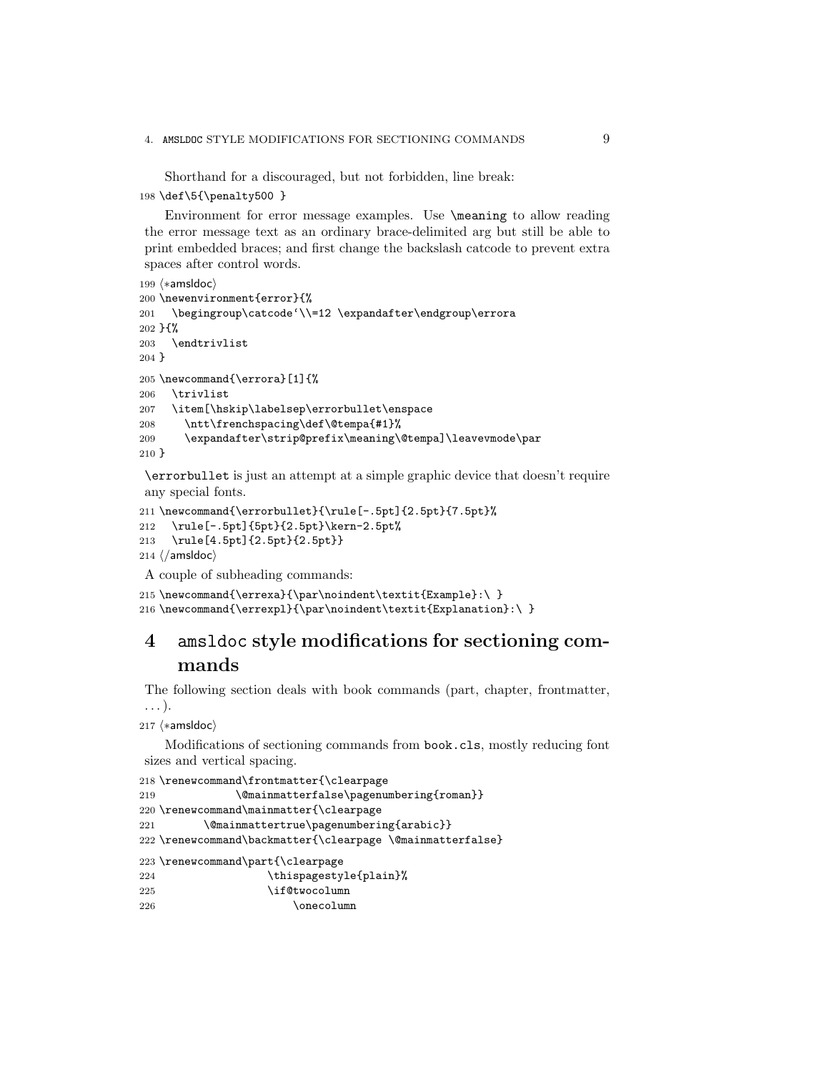Shorthand for a discouraged, but not forbidden, line break:

```
198 \def\5{\penalty500 }
```
Environment for error message examples. Use \meaning to allow reading the error message text as an ordinary brace-delimited arg but still be able to print embedded braces; and first change the backslash catcode to prevent extra spaces after control words.

```
199 (*amsldoc)
200 \newenvironment{error}{%
201 \begingroup\catcode'\\=12 \expandafter\endgroup\errora
202 } \frac{1}{6}%
203 \endtrivlist
204 }
205 \newcommand{\errora}[1]{%
206 \trivlist
207 \item[\hskip\labelsep\errorbullet\enspace
208 \ntt\frenchspacing\def\@tempa{#1}%
209 \expandafter\strip@prefix\meaning\@tempa]\leavevmode\par
210 }
```
\errorbullet is just an attempt at a simple graphic device that doesn't require any special fonts.

```
211 \newcommand{\errorbullet}{\rule[-.5pt]{2.5pt}{7.5pt}%
212 \rule[-.5pt]{5pt}{2.5pt}\kern-2.5pt%
213 \rule[4.5pt]{2.5pt}{2.5pt}}
214 \langle / amsldoc\rangleA couple of subheading commands:
```

```
215 \newcommand{\errexa}{\par\noindent\textit{Example}:\ }
216 \newcommand{\errexpl}{\par\noindent\textit{Explanation}:\ }
```
# 4 amsldoc style modifications for sectioning commands

The following section deals with book commands (part, chapter, frontmatter, . . . ).

```
217 (*amsldoc)
```
Modifications of sectioning commands from book.cls, mostly reducing font sizes and vertical spacing.

```
218 \renewcommand\frontmatter{\clearpage
219 \@mainmatterfalse\pagenumbering{roman}}
220 \renewcommand\mainmatter{\clearpage
221 \@mainmattertrue\pagenumbering{arabic}}
222 \renewcommand\backmatter{\clearpage \@mainmatterfalse}
223 \renewcommand\part{\clearpage
224 \thispagestyle{plain}%
225 \if@twocolumn
226 \qquad \qquad \text{onecolium}
```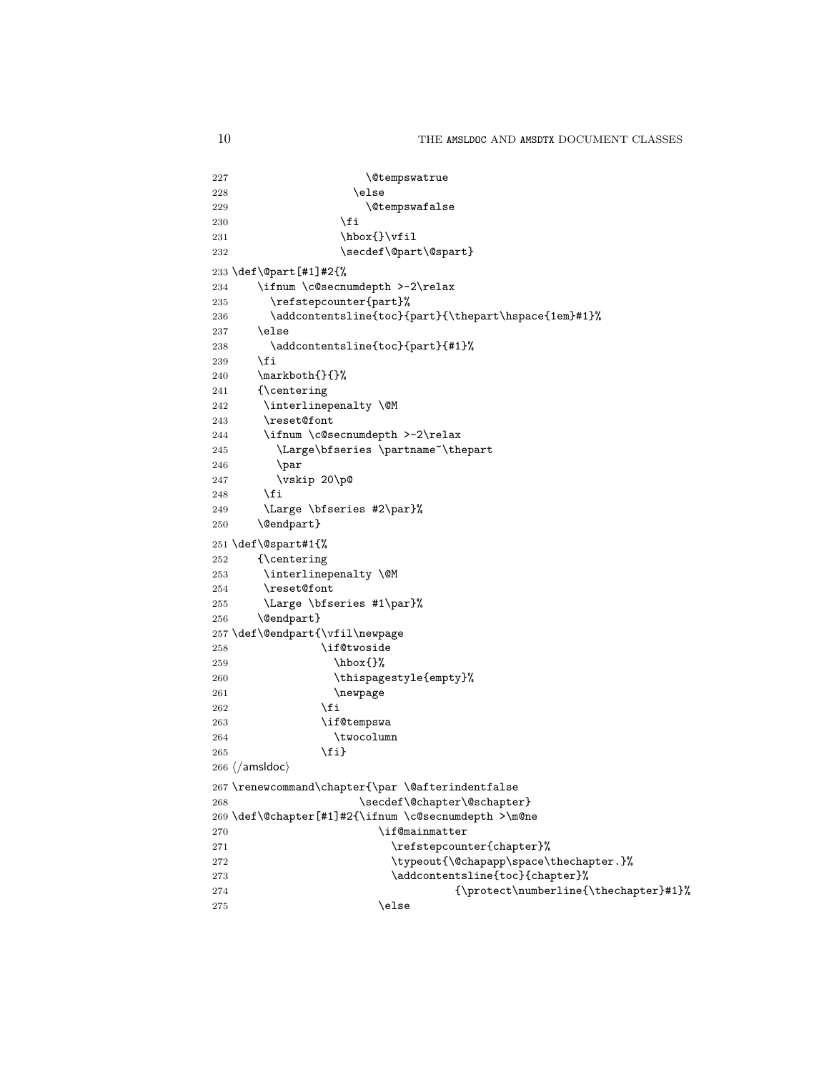```
227 \dtempswatrue
228 \else
229 \@tempswafalse
230 \quad \text{if}231 \hbar \hbox{}\vfil
232 \secdef\@part\@spart}
233 \def\@part[#1]#2{%
234 \ifnum \c@secnumdepth >-2\relax
235 \refstepcounter{part}%
236 \verb+\addcontentsline{toc}{path{\thepart}\hspace{-0.2em}\hspace{-0.2em}\hspace{-0.2em}+1}\label{fig:ex3}237 \else
238 \addcontentsline{toc}{part}{#1}%
239 \fi
240 \markboth{}{}%
241 {\centering
242 \interlinepenalty \@M
243 \reset@font
244 \ifnum \c@secnumdepth >-2\relax
245 \Large\bfseries \partname~\thepart
246 \par
247 \vskip 20\p@
248 \overrightarrow{f}249 \Large \bfseries #2\par}%
250 \@endpart}
251 \def\@spart#1{%
252 {\centering
253 \interlinepenalty \@M
254 \reset@font
255 \Large \bfseries #1\par}%
256 \@endpart}
257 \def\@endpart{\vfil\newpage
258 \if@twoside
259 \\tip\box{}%
260 \thispagestyle{empty}%
261 \newpage
262 \qquad \qquad \int fi
263 \if@tempswa
264 \twocolumn
265 \{f_i\}266 \; \langle / \text{amsldoc} \rangle267 \renewcommand\chapter{\par \@afterindentfalse
268 \secdef\@chapter\@schapter}
269 \def\@chapter[#1]#2{\ifnum \c@secnumdepth >\m@ne
270 \if@mainmatter
271 \refstepcounter{chapter}%
272 \typeout{\@chapapp\space\thechapter.}%
273 \addcontentsline{toc}{chapter}%
274 {\propto\{\hbox{thechapter}\#1}\}275 \text{else}
```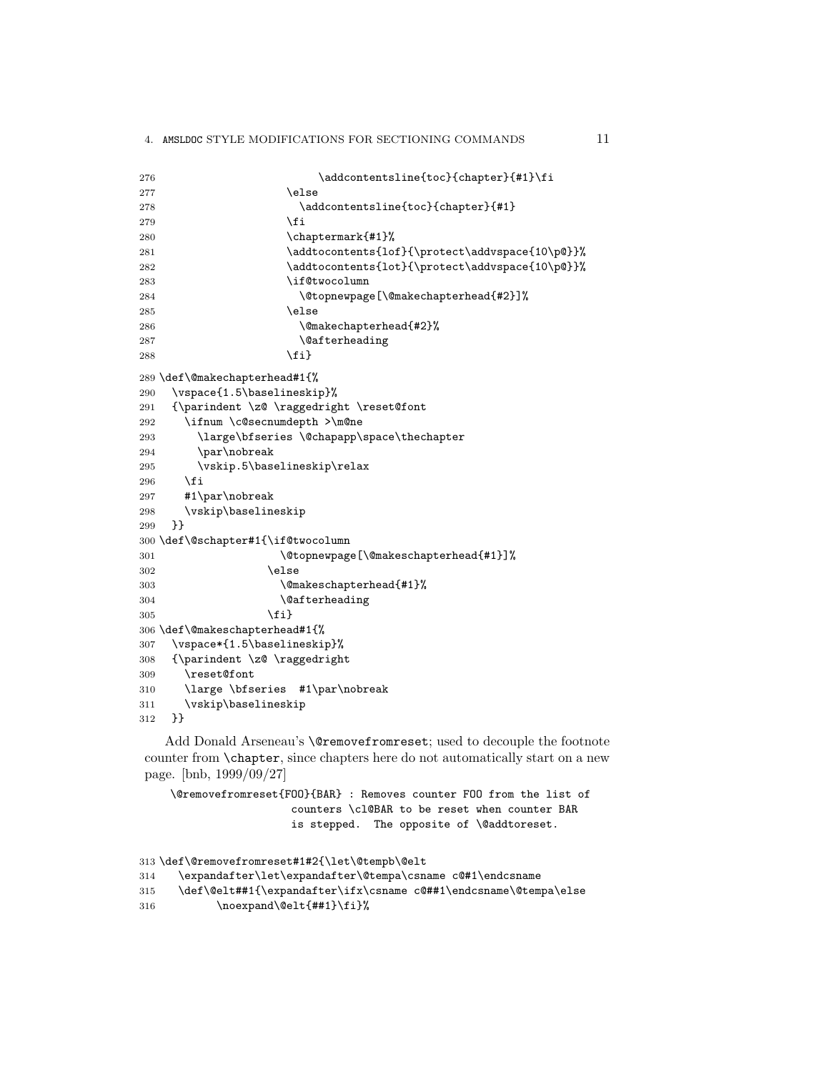```
276 \ddcontentsline{toc}{chapter}{#1}\fi
277 \else
278 \addcontentsline{toc}{chapter}{#1}
279 \setminusfi
280 \chaptermark{#1}%
281 \addtocontents{lof}{\protect\addvspace{10\p@}}%
282 \addtocontents{lot}{\protect\addvspace{10\p@}}%
283 \if@twocolumn
284 \@topnewpage[\@makechapterhead{#2}]%
285 \else
286 \@makechapterhead{#2}%
287 \@afterheading
288 \qquad \qquad \text{ifi}289 \def\@makechapterhead#1{%
290 \vspace{1.5\baselineskip}%
291 {\parindent \z@ \raggedright \reset@font
292 \ifnum \c@secnumdepth >\m@ne
293 \large\bfseries \@chapapp\space\thechapter
294 \par\nobreak
295 \vskip.5\baselineskip\relax
296 \fi
297 #1\par\nobreak
298 \vskip\baselineskip
299 }}
300 \def\@schapter#1{\if@twocolumn
301 \@topnewpage[\@makeschapterhead{#1}]%
302 \qquad \qquad \text{black}303 \@makeschapterhead{#1}%
304 \\@afterheading
305 \quad \text{if} \quad \text{if} \quad306 \def\@makeschapterhead#1{%
307 \vspace*{1.5\baselineskip}%
308 {\parindent \z@ \raggedright
309 \reset@font
310 \large \bfseries #1\par\nobreak
311 \vskip\baselineskip
312 }}
```
Add Donald Arseneau's \@removefromreset; used to decouple the footnote counter from \chapter, since chapters here do not automatically start on a new page. [bnb, 1999/09/27]

```
\@removefromreset{FOO}{BAR} : Removes counter FOO from the list of
                  counters \cl@BAR to be reset when counter BAR
                  is stepped. The opposite of \@addtoreset.
```

```
313 \def\@removefromreset#1#2{\let\@tempb\@elt
```

```
314 \expandafter\let\expandafter\@tempa\csname c@#1\endcsname
```

```
315 \def\@elt##1{\expandafter\ifx\csname c@##1\endcsname\@tempa\else
```

```
316 \noexpand\@elt{##1}\fi}%
```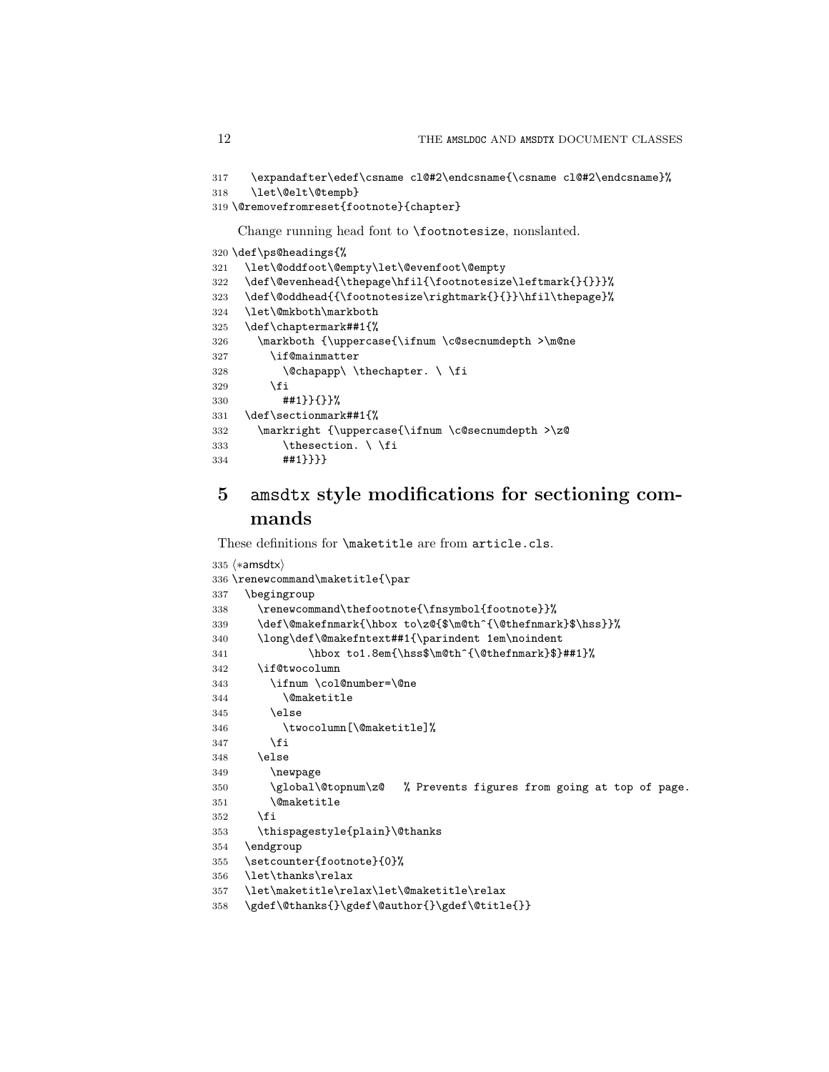```
317 \expandafter\edef\csname cl@#2\endcsname{\csname cl@#2\endcsname}%
318 \let\@elt\@tempb}
```

```
319 \@removefromreset{footnote}{chapter}
```
Change running head font to \footnotesize, nonslanted.

```
320 \def\ps@headings{%
321 \let\@oddfoot\@empty\let\@evenfoot\@empty
322 \def\@evenhead{\thepage\hfil{\footnotesize\leftmark{}{}}}%
323 \def\@oddhead{{\footnotesize\rightmark{}{}}\hfil\thepage}%
324 \let\@mkboth\markboth
325 \def\chaptermark##1{%
326 \markboth {\uppercase{\ifnum \c@secnumdepth >\m@ne
327 \if@mainmatter
328 \@chapapp\ \thechapter. \ \fi
329 \fi
330 ##1}}{}}%
331 \def\sectionmark##1{%
332 \markright {\uppercase{\ifnum \c@secnumdepth >\z@
333 \thesection. \ \fi
334 ##1}}}}
```
# amsdtx style modifications for sectioning commands

These definitions for \maketitle are from article.cls.

```
335 \langle *amsdtx \rangle336 \renewcommand\maketitle{\par
337 \begingroup
338 \renewcommand\thefootnote{\fnsymbol{footnote}}%
339 \def\@makefnmark{\hbox to\z@{$\m@th^{\@thefnmark}$\hss}}%
340 \long\def\@makefntext##1{\parindent 1em\noindent
341 \hbox to1.8em{\hss$\m@th^{\@thefnmark}$}##1}%
342 \if@twocolumn
343 \ifnum \col@number=\@ne
344 \@maketitle
345 \else
346 \twocolumn[\@maketitle]%
347 \fi
348 \else
349 \newpage
350 \global\@topnum\z@ % Prevents figures from going at top of page.
351 \@maketitle
352 \fi
353 \thispagestyle{plain}\@thanks
354 \endgroup
355 \setcounter{footnote}{0}%
356 \let\thanks\relax
357 \let\maketitle\relax\let\@maketitle\relax
358 \gdef\@thanks{}\gdef\@author{}\gdef\@title{}}
```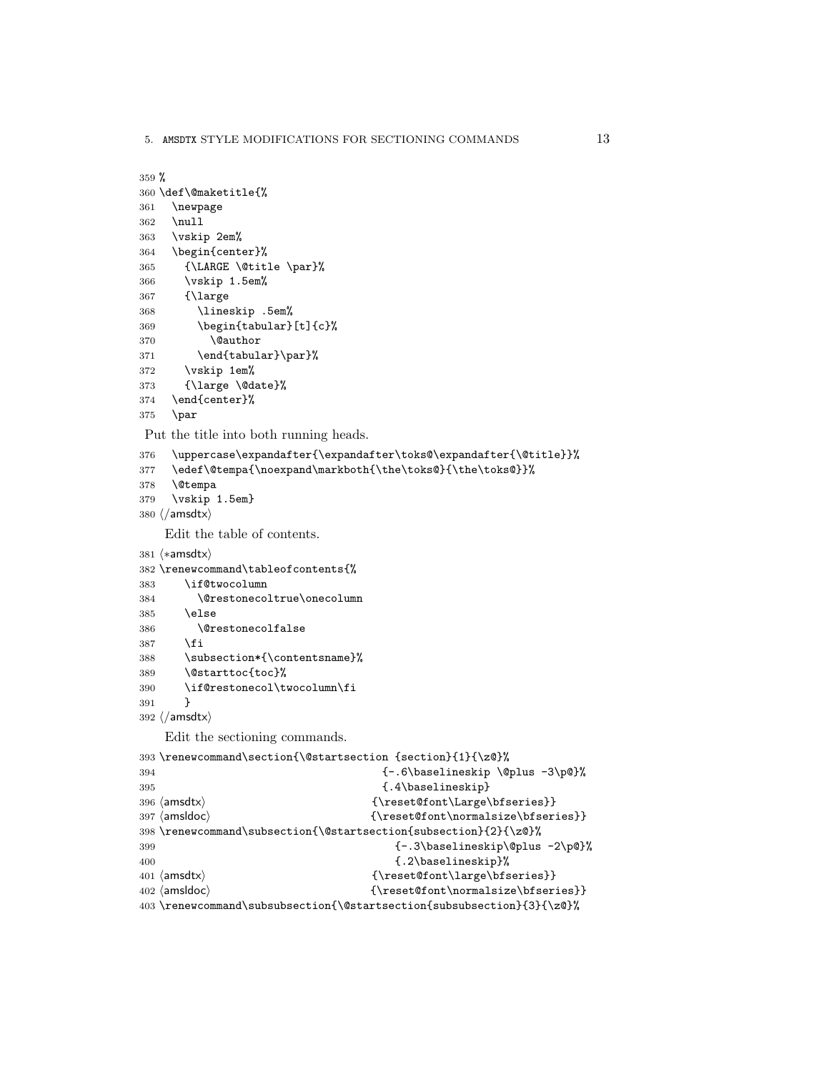5. AMSDTX STYLE MODIFICATIONS FOR SECTIONING COMMANDS 13

```
359 %
360 \def\@maketitle{%
361 \newpage
362 \null
363 \vskip 2em%
364 \begin{center}%
365 {\LARGE \@title \par}%
366 \vskip 1.5em%
367 {\large
368 \lineskip .5em%
369 \begin{tabular}[t]{c}%
370 \@author
371 \end{tabular}\par}%
372 \vskip 1em%
373 {\large \@date}%
374 \end{center}%
375 \par
Put the title into both running heads.
376 \uppercase\expandafter{\expandafter\toks@\expandafter{\@title}}%
377 \edef\@tempa{\noexpand\markboth{\the\toks@}{\the\toks@}}%
378 \@tempa
379 \vskip 1.5em}
380 \langle / amsdtx\rangleEdit the table of contents.
381 (*amsdtx)
382 \renewcommand\tableofcontents{%
383 \if@twocolumn
384 \@restonecoltrue\onecolumn
385 \else
386 \@restonecolfalse
387 \fi
388 \subsection*{\contentsname}%
389 \@starttoc{toc}%
390 \if@restonecol\twocolumn\fi
391 }
392 \langle/amsdtx\rangleEdit the sectioning commands.
393 \renewcommand\section{\@startsection {section}{1}{\z@}%
394 \{-.6\baselineskip \@plus\ 3\pp'\395 {.4\baselineskip}
396 (amsdtx) {\rm \Large\bf}397 (amsldoc) {\rm\;l\;malsize\sf\;b}398 \renewcommand\subsection{\@startsection{subsection}{2}{\z@}%
399 \{-3\baselineskip\ell\geqslant\}-1400 \{.\,2\backslash\text{baselineskip}\}\401 \{ \text{const} \}402 (amsldoc) {\rm\{treset@font\{normalsize\}}\}403 \renewcommand\subsubsection{\@startsection{subsubsection}{3}{\z@}%
```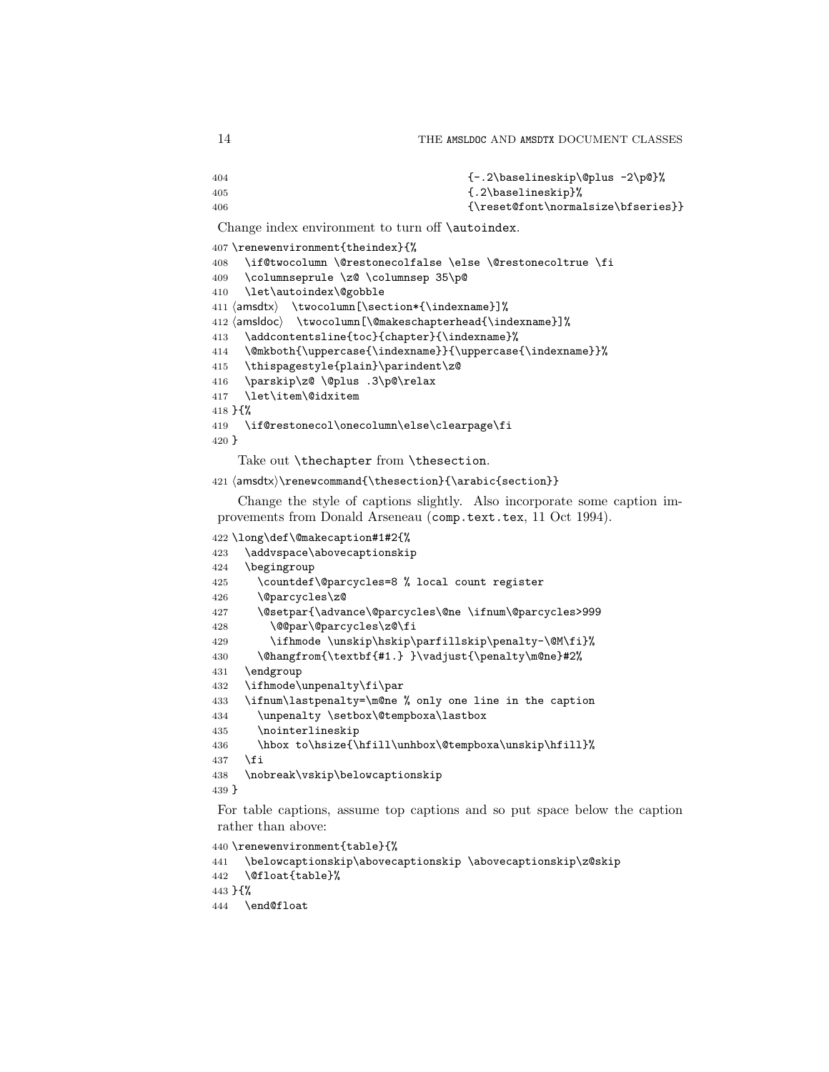```
404 {-.2\baselineskip\@plus -2\p@}%
405 <br>
{(.2\baselineskip}406 {\rm\sc{4}
```
Change index environment to turn off **\autoindex**.

```
407 \renewenvironment{theindex}{%
408 \if@twocolumn \@restonecolfalse \else \@restonecoltrue \fi
409 \columnseprule \z@ \columnsep 35\p@
410 \let\autoindex\@gobble
411 \damsdtx\ \twocolumn[\section*{\indexname}]%
412 (amsldoc) \twocolumn[\@makeschapterhead{\indexname}]%
413 \addcontentsline{toc}{chapter}{\indexname}%
414 \@mkboth{\uppercase{\indexname}}{\uppercase{\indexname}}%
415 \thispagestyle{plain}\parindent\z@
416 \parskip\z@ \@plus .3\p@\relax
417 \let\item\@idxitem
418 }{%
419 \if@restonecol\onecolumn\else\clearpage\fi
420 }
```
Take out \thechapter from \thesection.

```
421 \/ amsdtx\\renewcommand{\thesection}{\arabic{section}}
```
Change the style of captions slightly. Also incorporate some caption improvements from Donald Arseneau (comp.text.tex, 11 Oct 1994).

```
422 \long\def\@makecaption#1#2{%
423 \addvspace\abovecaptionskip
424 \begingroup
425 \countdef\@parcycles=8 % local count register
426 \@parcycles\z@
427 \@setpar{\advance\@parcycles\@ne \ifnum\@parcycles>999
428 \@@par\@parcycles\z@\fi
429 \ifhmode \unskip\hskip\parfillskip\penalty-\@M\fi}%
430 \@hangfrom{\textbf{#1.} }\vadjust{\penalty\m@ne}#2%
431 \endgroup
432 \ifhmode\unpenalty\fi\par
433 \ifnum\lastpenalty=\m@ne % only one line in the caption
434 \unpenalty \setbox\@tempboxa\lastbox
435 \nointerlineskip
436 \hbox to\hsize{\hfill\unhbox\@tempboxa\unskip\hfill}%
437 \fi
438 \nobreak\vskip\belowcaptionskip
439 }
```
For table captions, assume top captions and so put space below the caption rather than above:

```
440 \renewenvironment{table}{%
```

```
441 \belowcaptionskip\abovecaptionskip \abovecaptionskip\z@skip
442 \@float{table}%
```

```
443 }{%
```

```
444 \end@float
```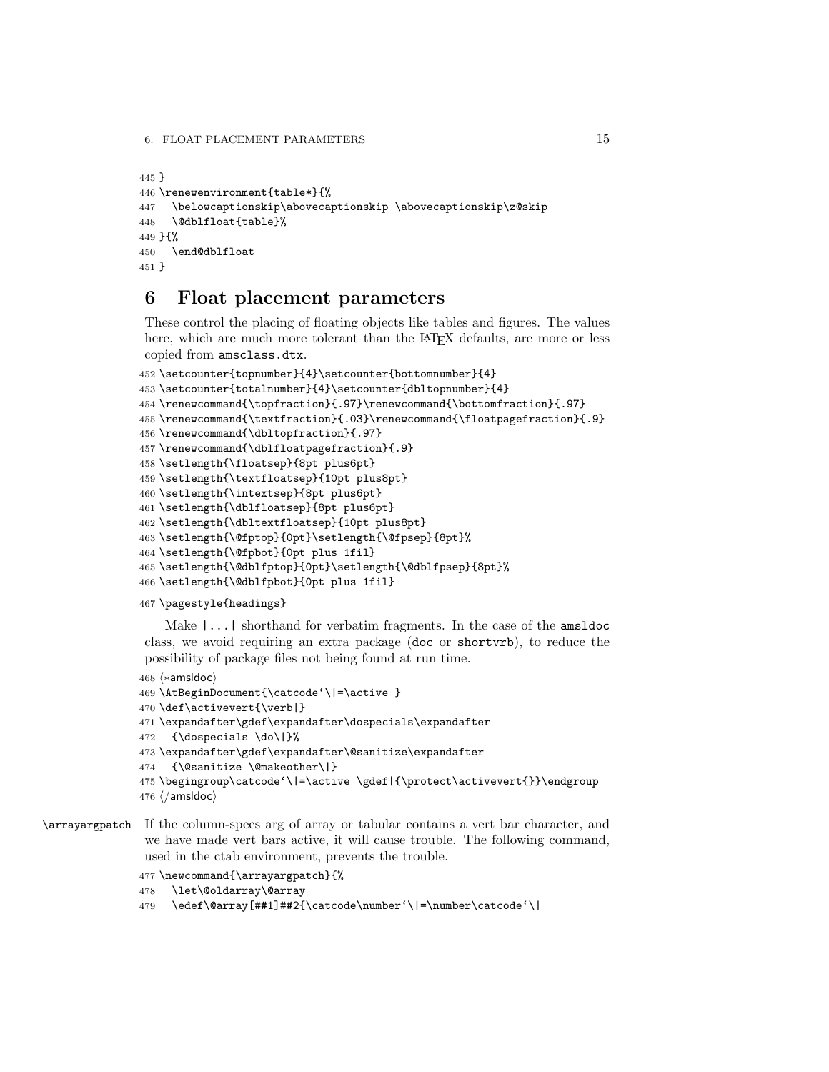```
445 }
446 \renewenvironment{table*}{%
447 \belowcaptionskip\abovecaptionskip \abovecaptionskip\z@skip
448 \@dblfloat{table}%
449 }{%
450 \end@dblfloat
451 }
```
# 6 Float placement parameters

These control the placing of floating objects like tables and figures. The values here, which are much more tolerant than the LAT<sub>EX</sub> defaults, are more or less copied from amsclass.dtx.

```
452 \setcounter{topnumber}{4}\setcounter{bottomnumber}{4}
453 \setcounter{totalnumber}{4}\setcounter{dbltopnumber}{4}
454 \renewcommand{\topfraction}{.97}\renewcommand{\bottomfraction}{.97}
455 \renewcommand{\textfraction}{.03}\renewcommand{\floatpagefraction}{.9}
456 \renewcommand{\dbltopfraction}{.97}
457 \renewcommand{\dblfloatpagefraction}{.9}
458 \setlength{\floatsep}{8pt plus6pt}
459 \setlength{\textfloatsep}{10pt plus8pt}
460 \setlength{\intextsep}{8pt plus6pt}
461 \setlength{\dblfloatsep}{8pt plus6pt}
462 \setlength{\dbltextfloatsep}{10pt plus8pt}
463 \setlength{\@fptop}{0pt}\setlength{\@fpsep}{8pt}%
464 \setlength{\@fpbot}{0pt plus 1fil}
465 \setlength{\@dblfptop}{0pt}\setlength{\@dblfpsep}{8pt}%
466 \setlength{\@dblfpbot}{0pt plus 1fil}
```
\pagestyle{headings}

Make |...| shorthand for verbatim fragments. In the case of the amsldoc class, we avoid requiring an extra package (doc or shortvrb), to reduce the possibility of package files not being found at run time.

```
468 (*amsldoc)
469 \AtBeginDocument{\catcode'\|=\active }
470 \def\activevert{\verb|}
471 \expandafter\gdef\expandafter\dospecials\expandafter
472 {\dospecials \do\|}%
473 \expandafter\gdef\expandafter\@sanitize\expandafter
474 {\@sanitize \@makeother\|}
475 \begingroup\catcode'\|=\active \gdef|{\protect\activevert{}}\endgroup
476 \langle / amsldoc\rangle
```
# \arrayargpatch If the column-specs arg of array or tabular contains a vert bar character, and we have made vert bars active, it will cause trouble. The following command, used in the ctab environment, prevents the trouble.

```
477 \newcommand{\arrayargpatch}{%
```

```
478 \let\@oldarray\@array
```

```
479 \edef\@array[##1]##2{\catcode\number'\|=\number\catcode'\|
```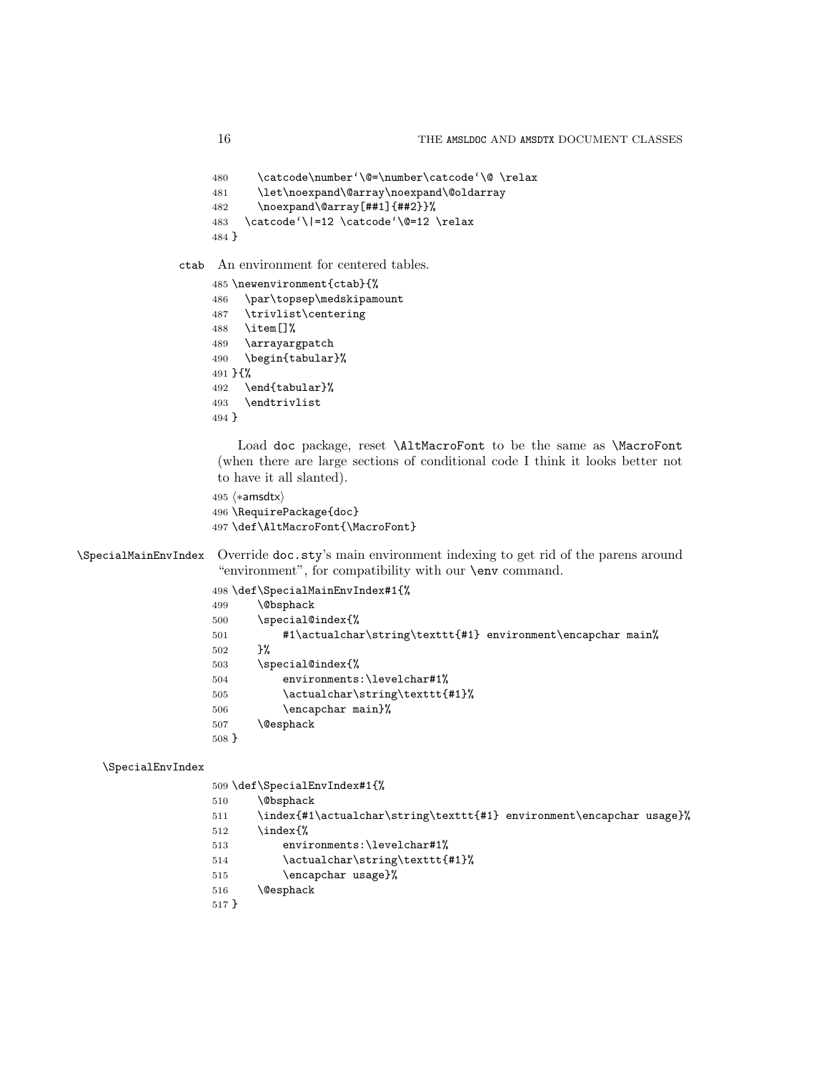```
480 \catcode\number'\@=\number\catcode'\@ \relax
     481 \let\noexpand\@array\noexpand\@oldarray
     482 \noexpand\@array[##1]{##2}}%
     483 \catcode'\|=12 \catcode'\@=12 \relax
     484 }
ctab An environment for centered tables.
    485 \newenvironment{ctab}{%
     486 \par\topsep\medskipamount
     487 \trivlist\centering
     488 \item[]%
    489 \arrayargpatch
     490 \begin{tabular}%
    491 }{%
     492 \end{tabular}%
     493 \endtrivlist
```

```
494 }
```
Load doc package, reset \AltMacroFont to be the same as \MacroFont (when there are large sections of conditional code I think it looks better not to have it all slanted).

```
495 (*amsdtx)
```

```
496 \RequirePackage{doc}
```
\def\AltMacroFont{\MacroFont}

\SpecialMainEnvIndex Override doc.sty's main environment indexing to get rid of the parens around "environment", for compatibility with our \env command.

|       | 498 \def\SpecialMainEnvIndex#1{%                            |
|-------|-------------------------------------------------------------|
| 499   | <b>\@bsphack</b>                                            |
| 500   | \special@index{%                                            |
| 501   | #1\actualchar\string\texttt{#1} environment\encapchar main% |
| 502   | ን%                                                          |
| 503   | \special@index{%                                            |
| 504   | environments:\levelchar#1%                                  |
| 505   | \actualchar\string\texttt{#1}%                              |
| 506   | \encapchar main}%                                           |
| 507   | <b>\@esphack</b>                                            |
| 508 F |                                                             |
|       |                                                             |

### \SpecialEnvIndex

- \def\SpecialEnvIndex#1{%
- \@bsphack
- \index{#1\actualchar\string\texttt{#1} environment\encapchar usage}%
- \index{%
- environments:\levelchar#1%
- 514 \actualchar\string\texttt{#1}%
- 515 \encapchar usage}%
- \@esphack

```
517 }
```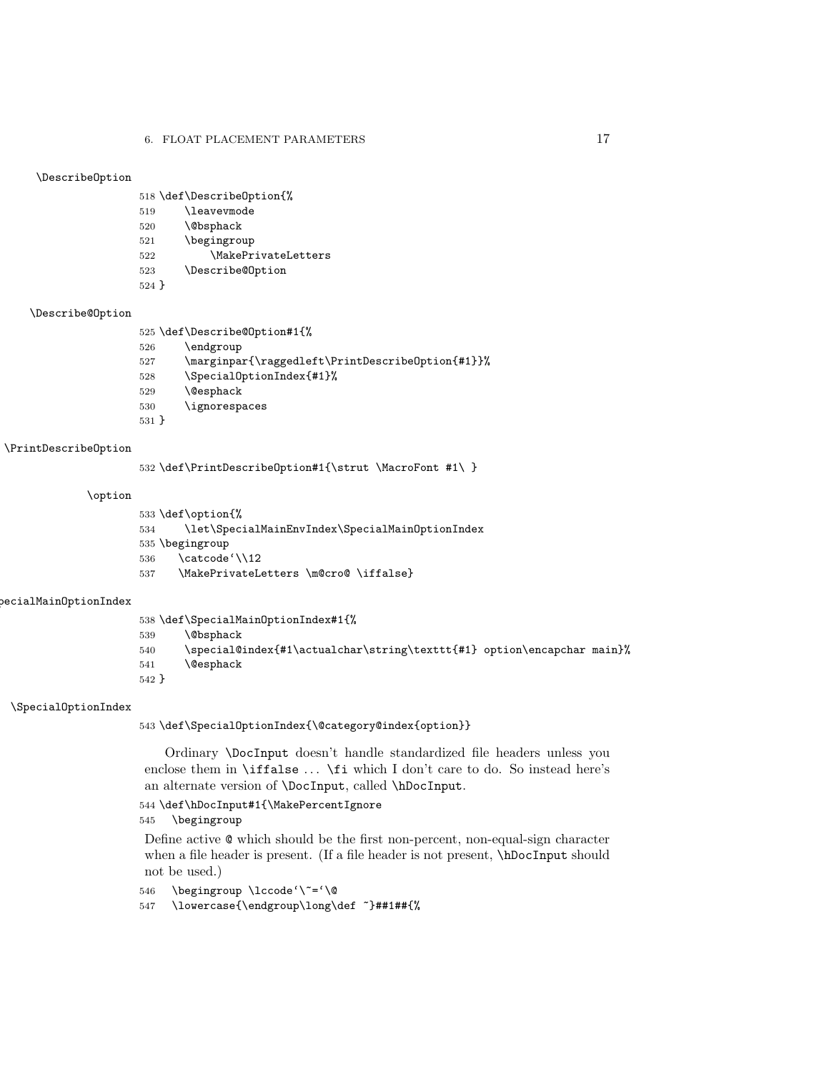### \DescribeOption

\def\DescribeOption{%

- \leavevmode \@bsphack
- \begingroup 522 \MakePrivateLetters
- \Describe@Option
- }

### \Describe@Option

- \def\Describe@Option#1{%
- \endgroup \marginpar{\raggedleft\PrintDescribeOption{#1}}% \SpecialOptionIndex{#1}% \@esphack \ignorespaces }

### \PrintDescribeOption

\def\PrintDescribeOption#1{\strut \MacroFont #1\ }

### \option

```
533 \def\option{%
534 \let\SpecialMainEnvIndex\SpecialMainOptionIndex
535 \begingroup
536 \catcode'\\12
537 \MakePrivateLetters \m@cro@ \iffalse}
```
### $\verb|occialMainOptionIndex|$

 \def\SpecialMainOptionIndex#1{% \@bsphack 540 \special@index{#1\actualchar\string\texttt{#1} option\encapchar main}% \@esphack }

### \SpecialOptionIndex

\def\SpecialOptionIndex{\@category@index{option}}

Ordinary \DocInput doesn't handle standardized file headers unless you enclose them in  $\iff$  ...  $\iff$  which I don't care to do. So instead here's an alternate version of \DocInput, called \hDocInput.

### \def\hDocInput#1{\MakePercentIgnore

\begingroup

Define active @ which should be the first non-percent, non-equal-sign character when a file header is present. (If a file header is not present, \hDocInput should not be used.)

\begingroup \lccode'\~='\@

\lowercase{\endgroup\long\def ~}##1##{%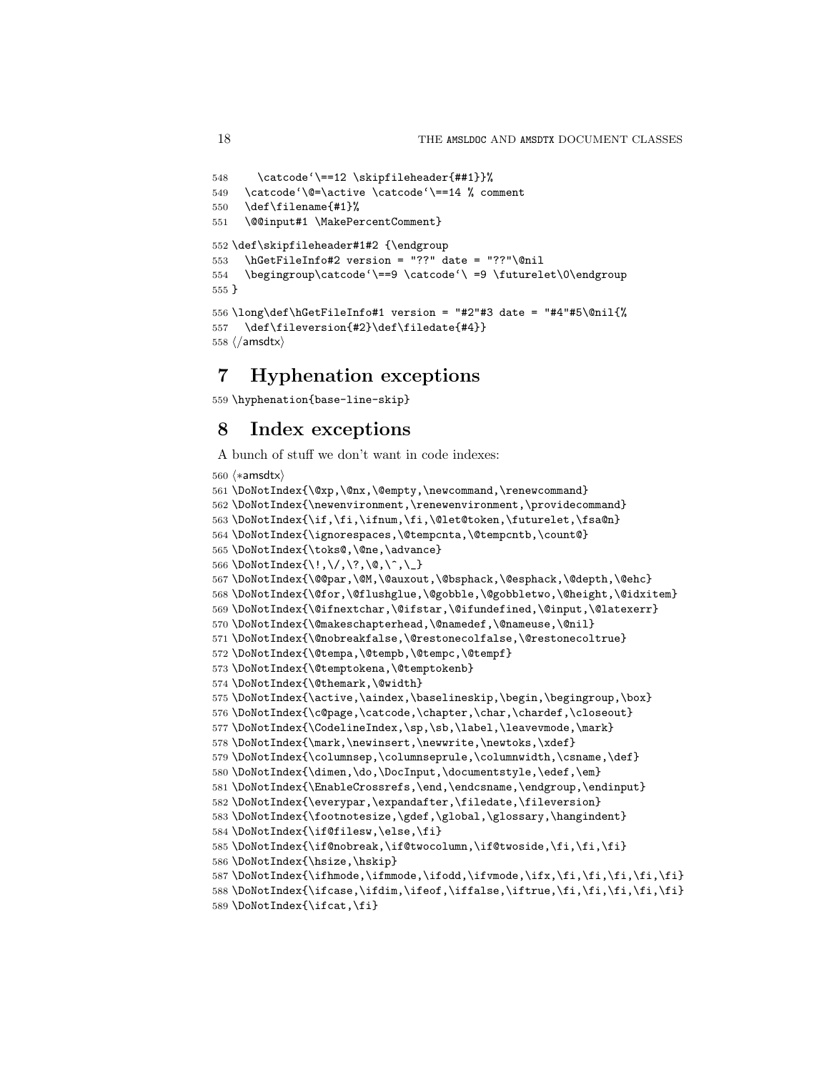```
548 \catcode'\==12 \skipfileheader{##1}}%
549 \catcode'\@=\active \catcode'\==14 % comment
550 \def\filename{#1}%
551 \@@input#1 \MakePercentComment}
552 \def\skipfileheader#1#2 {\endgroup
553 \hGetFileInfo#2 version = "??" date = "??"\@nil
554 \begingroup\catcode'\==9 \catcode'\ =9 \futurelet\0\endgroup
555 }
556\long\def\hGetFileInfo#1 version = "#2"#3 date = "#4"#5\@nil{%
557 \def\fileversion{#2}\def\filedate{#4}}
558 \langle/amsdtx\rangle
```
# 7 Hyphenation exceptions

\hyphenation{base-line-skip}

# 8 Index exceptions

A bunch of stuff we don't want in code indexes:

```
560 (*amsdtx)
561 \DoNotIndex{\@xp,\@nx,\@empty,\newcommand,\renewcommand}
562\DoNotIndex{\newenvironment,\renewenvironment,\providecommand}
563 \DoNotIndex{\if,\fi,\ifnum,\fi,\@let@token,\futurelet,\fsa@n}
564 \DoNotIndex{\ignorespaces,\@tempcnta,\@tempcntb,\count@}
565 \DoNotIndex{\toks@,\@ne,\advance}
566 \DoNotIndex{\!,\/,\?,\@,\^,\_}
567 \DoNotIndex{\@@par,\@M,\@auxout,\@bsphack,\@esphack,\@depth,\@ehc}
568 \DoNotIndex{\@for,\@flushglue,\@gobble,\@gobbletwo,\@height,\@idxitem}
569 \DoNotIndex{\@ifnextchar,\@ifstar,\@ifundefined,\@input,\@latexerr}
570 \DoNotIndex{\@makeschapterhead,\@namedef,\@nameuse,\@nil}
571 \DoNotIndex{\@nobreakfalse,\@restonecolfalse,\@restonecoltrue}
572 \DoNotIndex{\@tempa,\@tempb,\@tempc,\@tempf}
573 \DoNotIndex{\@temptokena,\@temptokenb}
574 \DoNotIndex{\@themark,\@width}
575 \DoNotIndex{\active,\aindex,\baselineskip,\begin,\begingroup,\box}
576 \DoNotIndex{\c@page,\catcode,\chapter,\char,\chardef,\closeout}
577 \DoNotIndex{\CodelineIndex,\sp,\sb,\label,\leavevmode,\mark}
578\DoNotIndex{\mark,\newinsert,\newwrite,\newtoks,\xdef}
579 \DoNotIndex{\columnsep,\columnseprule,\columnwidth,\csname,\def}
580 \DoNotIndex{\dimen,\do,\DocInput,\documentstyle,\edef,\em}
581 \DoNotIndex{\EnableCrossrefs,\end,\endcsname,\endgroup,\endinput}
582 \DoNotIndex{\everypar,\expandafter,\filedate,\fileversion}
583 \DoNotIndex{\footnotesize,\gdef,\global,\glossary,\hangindent}
584 \DoNotIndex{\if@filesw,\else,\fi}
585 \DoNotIndex{\if@nobreak,\if@twocolumn,\if@twoside,\fi,\fi,\fi}
586 \DoNotIndex{\hsize,\hskip}
587 \DoNotIndex{\ifhmode,\ifmmode,\ifodd,\ifvmode,\ifx,\fi,\fi,\fi,\fi,\fi}
588 \DoNotIndex{\ifcase,\ifdim,\ifeof,\iffalse,\iftrue,\fi,\fi,\fi,\fi,\fi}
589 \DoNotIndex{\ifcat,\fi}
```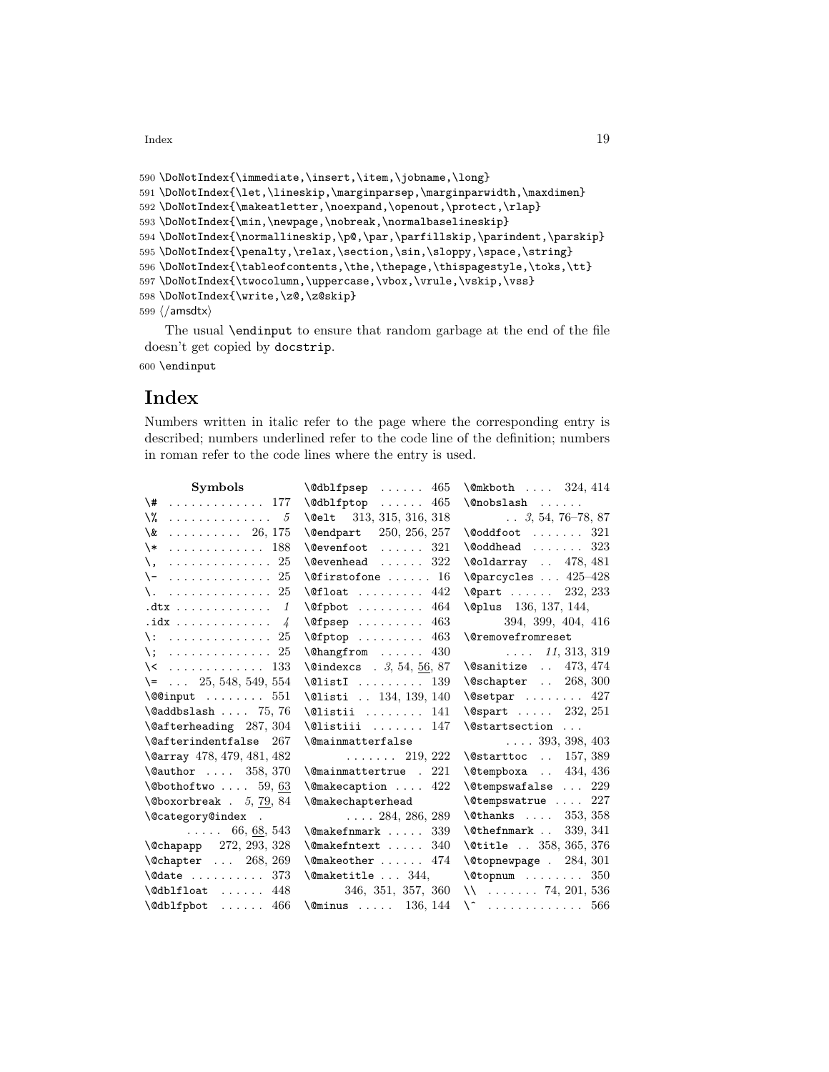$\mu$  Index  $\sim$  19

```
590 \DoNotIndex{\immediate,\insert,\item,\jobname,\long}
591 \DoNotIndex{\let,\lineskip,\marginparsep,\marginparwidth,\maxdimen}
592 \DoNotIndex{\makeatletter,\noexpand,\openout,\protect,\rlap}
593 \DoNotIndex{\min,\newpage,\nobreak,\normalbaselineskip}
594 \DoNotIndex{\normallineskip,\p@,\par,\parfillskip,\parindent,\parskip}
595 \DoNotIndex{\penalty,\relax,\section,\sin,\sloppy,\space,\string}
596 \DoNotIndex{\tableofcontents,\the,\thepage,\thispagestyle,\toks,\tt}
597 \DoNotIndex{\twocolumn,\uppercase,\vbox,\vrule,\vskip,\vss}
598 \DoNotIndex{\write,\z@,\z@skip}
599 \langle/amsdtx\rangle
```
The usual \endinput to ensure that random garbage at the end of the file doesn't get copied by docstrip.

600 \endinput

# Index

Numbers written in italic refer to the page where the corresponding entry is described; numbers underlined refer to the code line of the definition; numbers in roman refer to the code lines where the entry is used.

| Symbols                               | $\delta$ \@dblfpsep  465                                                                                                                                                                                                                                                                                 | \@mkboth  324, 414                                        |
|---------------------------------------|----------------------------------------------------------------------------------------------------------------------------------------------------------------------------------------------------------------------------------------------------------------------------------------------------------|-----------------------------------------------------------|
| \#<br>. 177                           | $\delta$ 465                                                                                                                                                                                                                                                                                             |                                                           |
| \%<br>. 5                             | \@elt 313, 315, 316, 318                                                                                                                                                                                                                                                                                 | $\ldots$ 3, 54, 76–78, 87                                 |
| $\ldots \ldots \ldots 26, 175$<br>\&  | \@endpart 250, 256, 257                                                                                                                                                                                                                                                                                  | $\text{0oddfoot} \dots \dots \ 321$                       |
| . 188<br>$\setminus *$                | $\text{Qevenfoot}$<br>321                                                                                                                                                                                                                                                                                | $\delta$ 323                                              |
| . 25<br>\.                            | $\text{Qevenhead}$ 322                                                                                                                                                                                                                                                                                   | \@oldarray  478, 481                                      |
| $\setminus$ -  25                     | $\setminus$ @firstofone  16                                                                                                                                                                                                                                                                              | $\text{@parcycles} \dots 425-428$                         |
| \.  25                                | $\text{Qfloat} \dots \dots \dots \quad 442$                                                                                                                                                                                                                                                              | $\qquad$                                                  |
| $.$ dtx $\ldots \ldots \ldots \ldots$ | $\text{Qfplot} \dots \dots \dots \quad 464$                                                                                                                                                                                                                                                              | <b>\@plus</b> 136, 137, 144,                              |
| $idx$ 4                               | $\sqrt{9}$ $\sqrt{9}$ $\sqrt{9}$ $\sqrt{10}$ $\sqrt{10}$ $\sqrt{10}$ $\sqrt{10}$ $\sqrt{10}$ $\sqrt{10}$ $\sqrt{10}$ $\sqrt{10}$ $\sqrt{10}$ $\sqrt{10}$ $\sqrt{10}$ $\sqrt{10}$ $\sqrt{10}$ $\sqrt{10}$ $\sqrt{10}$ $\sqrt{10}$ $\sqrt{10}$ $\sqrt{10}$ $\sqrt{10}$ $\sqrt{10}$ $\sqrt{10}$ $\sqrt{10}$ | 394, 399, 404, 416                                        |
| $\backslash:$ 25                      | $\sqrt{9}$ fptop  463                                                                                                                                                                                                                                                                                    | <b>\@removefromreset</b>                                  |
| \; 25                                 | $\lambda$ hangfrom  430                                                                                                                                                                                                                                                                                  | $\ldots$ 11, 313, 319                                     |
| $\setminus$ 133                       | $\text{Qundexcs}$ . 3, 54, 56, 87                                                                                                                                                                                                                                                                        | $\lambda$ gsanitize  473, 474                             |
| $\leftarrow$ 25, 548, 549, 554        | $\text{\texttt{QlistI}} \dots \dots \dots \quad \text{139}$                                                                                                                                                                                                                                              | $\text{Qschapter}$ 268, 300                               |
| $\sqrt{$ input  551                   | \@listi  134, 139, 140                                                                                                                                                                                                                                                                                   | $\text{Qsetpar}$ 427                                      |
| $\delta$ . 75, 76                     | $\text{Qlistii} \dots \dots \quad 141$                                                                                                                                                                                                                                                                   | $\text{Qspart}$ 232, 251                                  |
| $\text{Qafterheading}$ 287, 304       | $\text{Qlistiii} \dots \dots \quad 147$                                                                                                                                                                                                                                                                  | \@startsection                                            |
| \@afterindentfalse 267                | <b>\@mainmatterfalse</b>                                                                                                                                                                                                                                                                                 | $\ldots$ 393, 398, 403                                    |
| \@array 478, 479, 481, 482            | $\ldots \ldots 219, 222$                                                                                                                                                                                                                                                                                 | \@starttoc  157, 389                                      |
| \@author  358, 370                    | $\lambda$ @mainmattertrue . 221                                                                                                                                                                                                                                                                          | $\text{\&tempboxa} \dots 434, 436$                        |
| $\setminus$ ©bothoftwo  59,63         | $\{\n$ Cmakecaption  422                                                                                                                                                                                                                                                                                 | $\text{Cetempswafalse} \dots 229$                         |
| $\lambda$ Oboxorbreak . 5, 79, 84     | <b>\@makechapterhead</b>                                                                                                                                                                                                                                                                                 | \@tempswatrue  227                                        |
| \@category@index .                    | $\ldots$ 284, 286, 289                                                                                                                                                                                                                                                                                   | $\text{Cthanks} \dots 353, 358$                           |
| $\ldots 66, 68, 543$                  | $\Omega$ \@makefnmark  339                                                                                                                                                                                                                                                                               | $\texttt{\textbackslash}$ ethefnmark $\ldots$<br>339, 341 |
| \@chapapp 272, 293, 328               | $\Omega$ . $340$                                                                                                                                                                                                                                                                                         | \@title  358, 365, 376                                    |
| \@chapter  268, 269                   | $\text{Qmakeother} \dots \dots \quad 474$                                                                                                                                                                                                                                                                | $\text{Vctopnewpage}$ . 284, 301                          |
| $\delta$ . $\delta$ 373               | $\Omega$ 344,                                                                                                                                                                                                                                                                                            | $\text{Cotopnum} \dots \dots \dots \quad 350$             |
| $\delta$ \@dblfloat  448              | 346, 351, 357, 360                                                                                                                                                                                                                                                                                       | $\mathcal{N}$ 74, 201, 536                                |
| \@dblfpbot  466                       | $\text{Ominus}$ 136, 144                                                                                                                                                                                                                                                                                 | $\setminus$ 566                                           |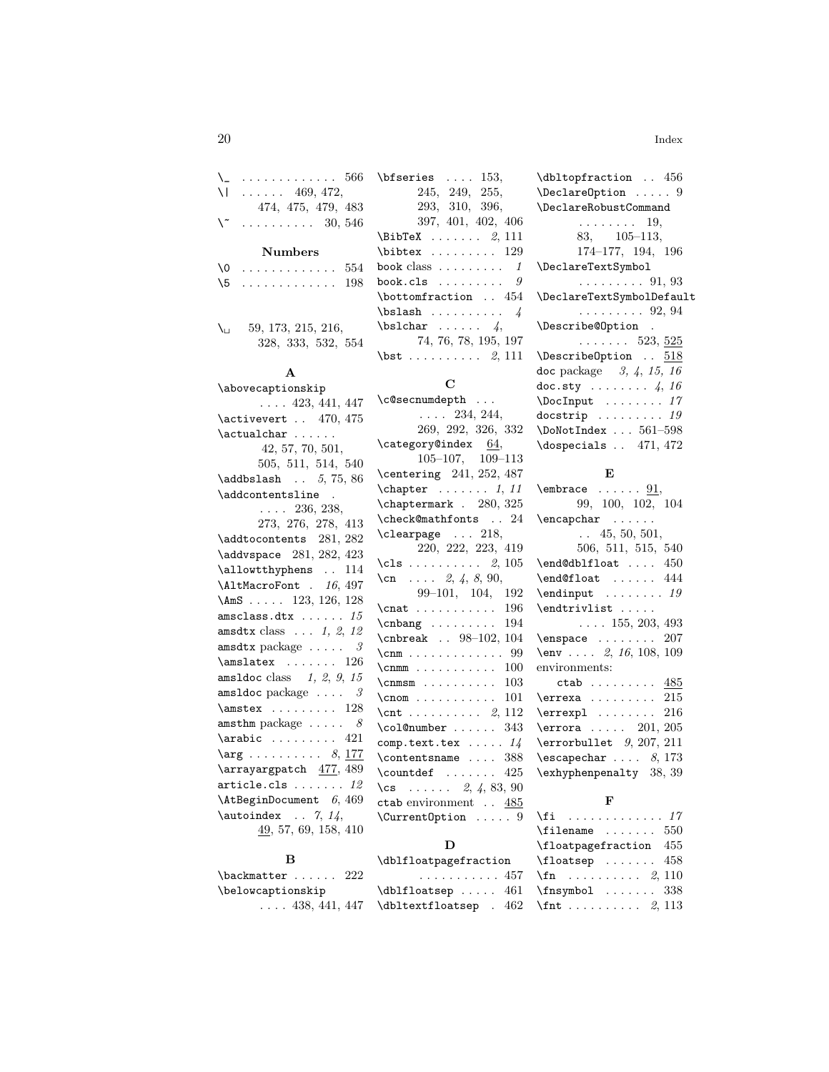| $\setminus$ | . 566                          |     |
|-------------|--------------------------------|-----|
| ΝI          | $\ldots$ 469, 472,             |     |
|             | 474, 475, 479, 483             |     |
|             | $\ldots \ldots \ldots 30, 546$ |     |
|             |                                |     |
|             | <b>Numbers</b>                 |     |
| 10          | and a construction of the      | 554 |
| \5          | . 198                          |     |
|             |                                |     |
|             |                                |     |
|             |                                |     |

| Nı | 59, 173, 215, 216, |                    |  |
|----|--------------------|--------------------|--|
|    |                    | 328, 333, 532, 554 |  |

# A

| \abovecaptionskip                                     |
|-------------------------------------------------------|
| $\ldots$ 423, 441, 447                                |
| $\text{activevert}$ . 470, 475                        |
| \actualchar                                           |
| 42, 57, 70, 501,                                      |
| 505, 511, 514, 540                                    |
| $\adabslash$ 5, 75, 86                                |
| \addcontentsline .                                    |
| $\ldots$ 236, 238,                                    |
| 273, 276, 278, 413                                    |
| \addtocontents 281, 282                               |
| \addvspace 281, 282, 423                              |
| $\lambda$ . 114                                       |
| \AltMacroFont . 16, 497                               |
| $\Lambda \text{ms} \ldots$ 123, 126, 128              |
| $\mathtt{amsclass.dat}\dots \dots\ 15$                |
| amsdtx class $\ldots$ 1, 2, 12                        |
| amsdtx package $\ldots$ . $\beta$                     |
| $\mathrm{26}$                                         |
| amsldoc class $1, 2, 9, 15$                           |
| amsldoc package $\ldots$ . $\beta$                    |
| $\mathrm{28}$                                         |
| amsthm package $\ldots$ . $\delta$                    |
| $\arabic \dots \dots 421$                             |
| $\arg \ldots \ldots \ldots \quad 8, \underline{177}$  |
| \arrayargpatch 477, 489                               |
| $\texttt{article}.\texttt{cls}\ \ldots \ldots \ \ 12$ |
| $\Lambda t$ BeginDocument $6, 469$                    |
| $\lambda$ \autoindex 7, 14,                           |
| $\underline{49}$ , 57, 69, 158, 410                   |

# B

| \backmatter  222       |  |
|------------------------|--|
| \belowcaptionskip      |  |
| $\ldots$ 438, 441, 447 |  |

| $\b$ fseries  153.                                  |
|-----------------------------------------------------|
| 245, 249, 255,                                      |
| 293, 310, 396,                                      |
| 397, 401, 402, 406                                  |
| $\Delta x$ 2, 111                                   |
| $\big\{\text{bibtex} \dots \dots \dots \ 129\big\}$ |
| book class $\dots \dots \dots 1$                    |
| book.cls $9$                                        |
| $\lambda$ . 454                                     |
| $\b$ slash  4                                       |
| $\b{b}$ slchar  4,                                  |
| 74, 76, 78, 195, 197                                |
| $\text{bst}$ 2, 111                                 |

# C

| \c@secnumdepth                                                  |
|-----------------------------------------------------------------|
| $\ldots$ 234, 244,                                              |
| 269, 292, 326, 332                                              |
| $\text{category@index}$ 64,                                     |
| $105-107$ , $109-113$                                           |
| \centering 241, 252, 487                                        |
| $\begin{bmatrix} \text{chapter} & \ldots & 1, 11 \end{bmatrix}$ |
| \chaptermark . 280, 325                                         |
| \check@mathfonts  24                                            |
| $\verb+\clearpage+ 218+$                                        |
| 220, 222, 223, 419                                              |
| \cls 2, $105$                                                   |
| $\cn \ldots 2, 4, 8, 90,$                                       |
| 99-101, 104, 192                                                |
| $\texttt{const}$ 196                                            |
| $\binom{194}{}$                                                 |
| \cnbreak . 98-102, 104                                          |
| $\text{Comm}\dots\ldots\dots\dots\ 99$                          |
| $\Gamma \ldots \ldots \ldots 100$                               |
| $\Gamma$ 103                                                    |
| $\Gamma \ldots \ldots \ldots 101$                               |
|                                                                 |
| $\cdot$ $\cdot$ 343                                             |
| comp.text.tex $14$                                              |
| $\cdot$ 388                                                     |
| $\text{Countdef}$ 425                                           |
| \cs $2, 4, 83, 90$                                              |
| ctab environment 485                                            |
| \CurrentOption  9                                               |

# D

| \dblfloatpagefraction              |  |  |  |  |  |  |
|------------------------------------|--|--|--|--|--|--|
| $\ldots \ldots \ldots 457$ \       |  |  |  |  |  |  |
| $\delta \$ $461$                   |  |  |  |  |  |  |
| $\delta$ \dbltextfloatsep . 462 \: |  |  |  |  |  |  |

# E

# F

| $\text{filename} \dots \dots \quad 550$ |  |
|-----------------------------------------|--|
| \floatpagefraction 455                  |  |
| $\Lambda$ :  458                        |  |
| $\binom{2}{10}$                         |  |
| $\frac{338}{ }$                         |  |
| $\int f$ nt  2, 113                     |  |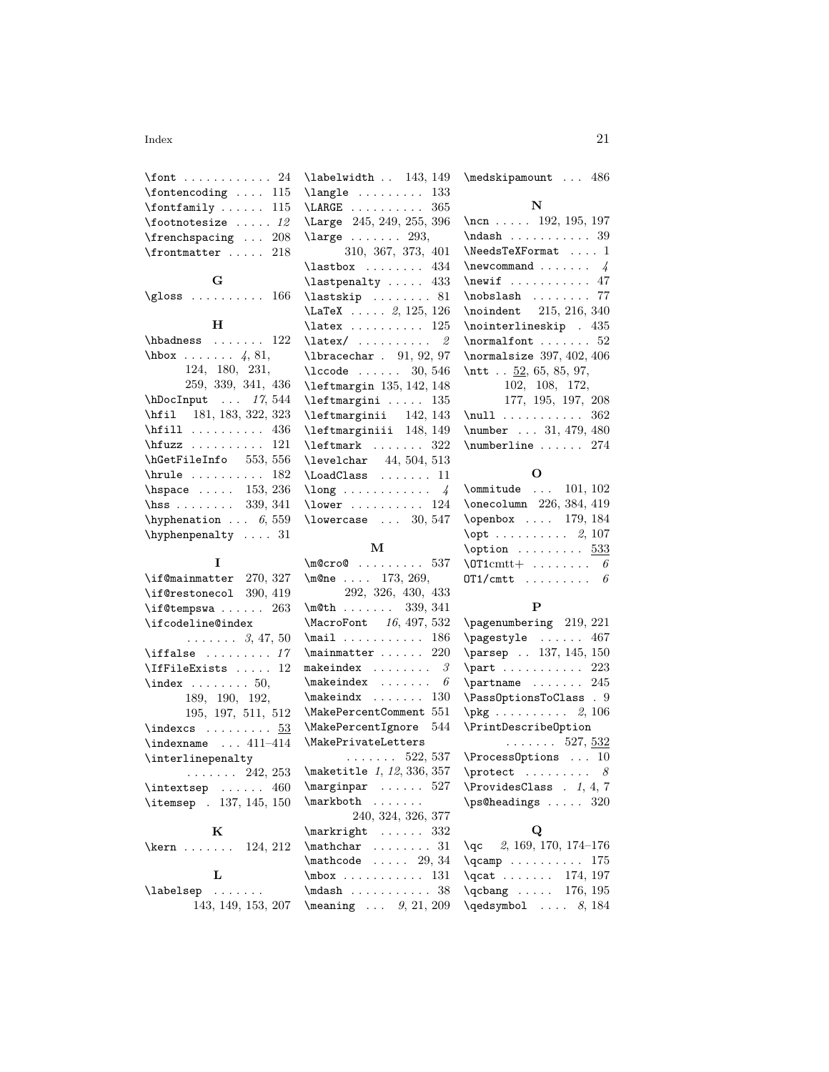### $\frac{1}{21}$

| \font  24                    |  |  |  |
|------------------------------|--|--|--|
| $\cdot$ 115                  |  |  |  |
| $\forall$ fontfamily  115    |  |  |  |
| $\setminus$ footnotesize  12 |  |  |  |
| \frenchspacing  208          |  |  |  |
| $\lvert$ \frontmatter  218   |  |  |  |

G \gloss ......... 166

### H

| $\hbox{\tt hbadness}$ 122        |  |
|----------------------------------|--|
| $hbox \ldots 4, 81,$             |  |
| 124, 180, 231,                   |  |
| 259, 339, 341, 436               |  |
| hDocInput  17, 544               |  |
| \hfil 181, 183, 322, 323         |  |
| $\hbox{hfill}$ 436               |  |
| $\hbar$ iuzz  121                |  |
| \hGetFileInfo 553, 556           |  |
| $\hbox{hrule}$ 182               |  |
| \hspace $153, 236$               |  |
| \hss 339, 341                    |  |
| \hyphenation $6,559$             |  |
| $\hbox{\hbox{hyphenpenalty}}$ 31 |  |

| T                                                                                                                                                                                                     |
|-------------------------------------------------------------------------------------------------------------------------------------------------------------------------------------------------------|
| \if@mainmatter 270, 327                                                                                                                                                                               |
| \if@restonecol 390, 419                                                                                                                                                                               |
| $\iota$ if@tempswa  263                                                                                                                                                                               |
| \ifcodeline@index                                                                                                                                                                                     |
| $\ldots \ldots 3, 47, 50$                                                                                                                                                                             |
| $\left\{ \right. \left. \left. \right. \left. \right. \left. \right. \left. \right. \left. \right. \left. \right. \left. \right. \left. \right. \left. \right. \left. \right. \left. \right. \right.$ |
| $\setminus$ IfFileExists  12                                                                                                                                                                          |
| $\lambda$ 50,                                                                                                                                                                                         |
| 189, 190, 192,                                                                                                                                                                                        |
| 195, 197, 511, 512                                                                                                                                                                                    |
| $\theta x \cdot \ldots \cdot 53$                                                                                                                                                                      |
| $\infty$ 411-414                                                                                                                                                                                      |
| \interlinepenalty                                                                                                                                                                                     |
| $\cdots \cdots 242, 253$                                                                                                                                                                              |
| $\int$ intextsep  460                                                                                                                                                                                 |
| \itemsep . 137, 145, 150                                                                                                                                                                              |
|                                                                                                                                                                                                       |
| K                                                                                                                                                                                                     |
| \kern $124, 212$                                                                                                                                                                                      |
|                                                                                                                                                                                                       |
| L<br>$\lambda$ lahalaan                                                                                                                                                                               |
|                                                                                                                                                                                                       |

\labelsep . . . . . . . 143, 149, 153, 207 \meaning ... 9, 21, 209

\labelwidth .. 143, 149 \langle . . . . . . . . . 133 \LARGE . . . . . . . . . . 365 \Large 245, 249, 255, 396  $\label{eq:large}$ 310, 367, 373, 401 \lastbox ....... 434 \lastpenalty . . . . . 433  $\texttt{lastskip} \dots \dots \ 81$ \LaTeX . . . . . 2, 125, 126 \latex . . . . . . . . . . 125 \latex/ ......... 2 \lbracechar . 91, 92, 97 \lccode ...... 30, 546 \leftmargin 135, 142, 148 \leftmargini . . . . . 135 \leftmarginii 142, 143 \leftmarginiii 148, 149  $\label{eq:reftmark} \texttt{left} \hspace{3mm} \ldots \ldots \hspace{3mm} 322$ \levelchar 44, 504, 513 \LoadClass . . . . . . . 11  $\langle \text{long } \ldots \ldots \ldots \rangle$ \lower . . . . . . . . . 124 \lowercase ... 30, 547

### M

| 537<br>$\mho$ cro $\ell$            |
|-------------------------------------|
| $\m{me}$ 173, 269,                  |
| 292, 326, 430, 433                  |
| $\mathcal{L}$ 339, 341              |
| MacroFont 16, 497, 532              |
| $\text{mail} \dots \dots \dots 186$ |
| $\text{minmatter} \dots 220$        |
| makeindex $\ldots \ldots \ldots$ 3  |
| $\backslash$ makeindex<br>6         |
| $\mathcal{L}$ 130                   |
| \MakePercentComment 551             |
| \MakePercentIgnore 544              |
| \MakePrivateLetters                 |
| $\ldots \ldots 522, 537$            |
| \maketitle 1, 12, 336, 357          |
| 527<br>$\text{marginpar}$           |
| \markboth                           |
| 240, 324, 326, 377                  |
| $\text{markright} \dots$ 332        |
| $\mathcal{L}$<br>31                 |
| $\mathcal{L}$ 29, 34                |
| $\mbox{mbox} \ldots \ldots 131$     |
| $\mathrm{adash}$ 38                 |
|                                     |

\medskipamount . . . 486

## N

\ncn . . . . . 192, 195, 197 \ndash . . . . . . . . . . 39 \NeedsTeXFormat . . . . 1  $\neq$   $\vee$  4 \newif . . . . . . . . . . 47 \nobslash . . . . . . . . 77 \noindent 215, 216, 340 \nointerlineskip . 435 \normalfont . . . . . . . 52 \normalsize 397, 402, 406 \ntt . . 52, 65, 85, 97, 102, 108, 172, 177, 195, 197, 208 \null . . . . . . . . . . . 362 \number . . . 31, 479, 480 \numberline ...... 274

#### O

| $\lambda$ 101, 102                      |  |  |  |  |  |
|-----------------------------------------|--|--|--|--|--|
| \onecolumn 226, 384, 419                |  |  |  |  |  |
| \openbox  179, 184                      |  |  |  |  |  |
| $\mathcal{X}$ 2, 107                    |  |  |  |  |  |
|                                         |  |  |  |  |  |
| $\text{OPT1cmtt} + \ldots + \ldots + 6$ |  |  |  |  |  |
| $OT1/cmt$ $\theta$                      |  |  |  |  |  |

### P

| \pagenumbering 219, 221     |
|-----------------------------|
| \pagestyle  467             |
| \parsep  137, 145, 150      |
| $\part  \dots 223$          |
| $\partial$ 245              |
| \PassOptionsToClass . 9     |
| $\beta$ 2, 106              |
| \PrintDescribeOption        |
|                             |
| $\ldots \ldots 527, 532$    |
| \ProcessOptions  10         |
| $\mathcal{S}$               |
| $\PrevidesClass$ . 1, 4, 7  |
| $\ps@headings \ldots \ 320$ |

### Q

| 2, 169, 170, 174–176<br>\ac          |  |
|--------------------------------------|--|
| $\qquad \ldots \ldots 175$           |  |
| 174, 197<br>$\qquad \ldots \ldots$   |  |
| 176, 195<br>$\qquad \qquad \ldots$ . |  |
| $\qquad$                             |  |